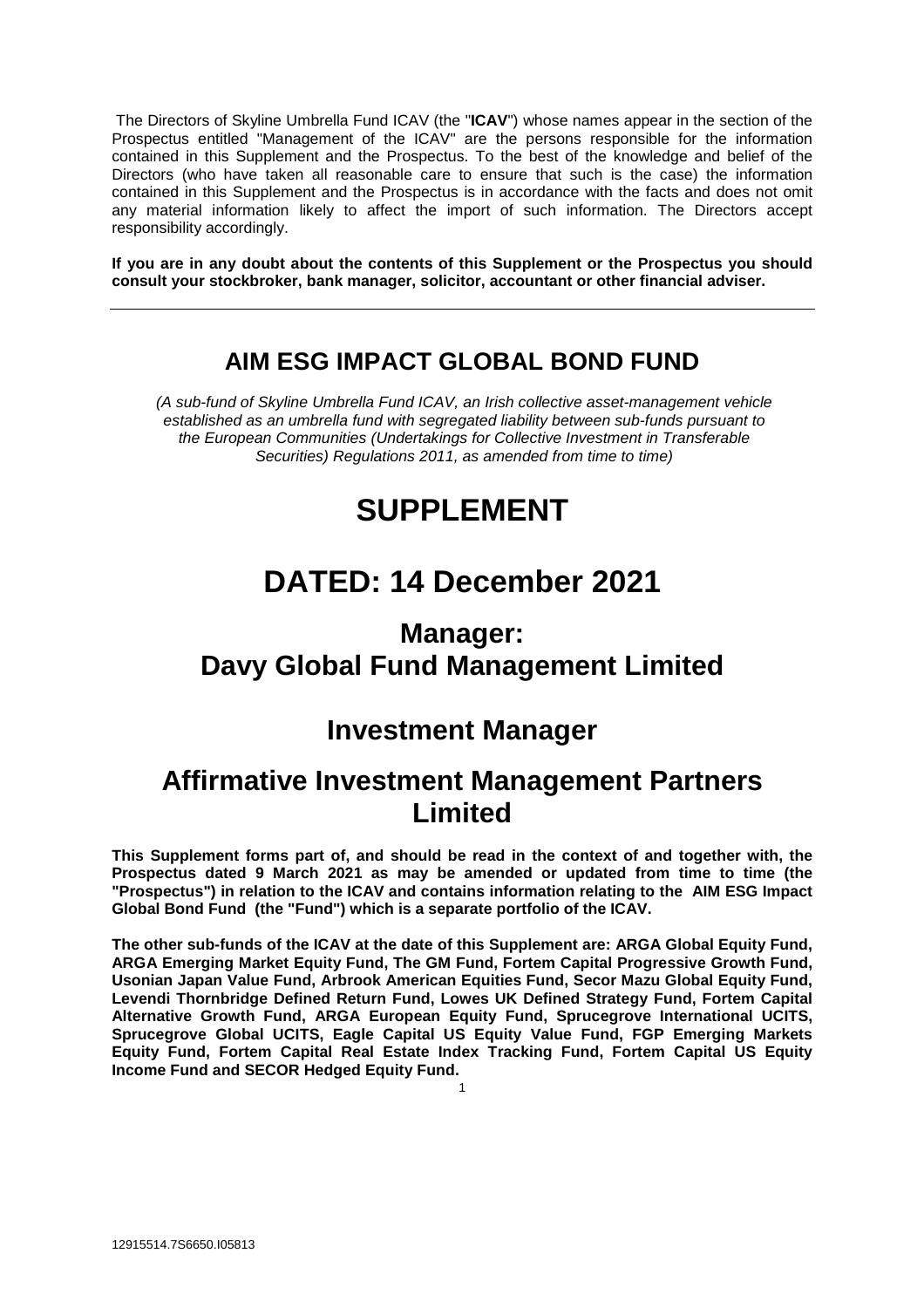The Directors of Skyline Umbrella Fund ICAV (the "**ICAV**") whose names appear in the section of the Prospectus entitled "Management of the ICAV" are the persons responsible for the information contained in this Supplement and the Prospectus. To the best of the knowledge and belief of the Directors (who have taken all reasonable care to ensure that such is the case) the information contained in this Supplement and the Prospectus is in accordance with the facts and does not omit any material information likely to affect the import of such information. The Directors accept responsibility accordingly.

**If you are in any doubt about the contents of this Supplement or the Prospectus you should consult your stockbroker, bank manager, solicitor, accountant or other financial adviser.**

# **AIM ESG IMPACT GLOBAL BOND FUND**

*(A sub-fund of Skyline Umbrella Fund ICAV, an Irish collective asset-management vehicle established as an umbrella fund with segregated liability between sub-funds pursuant to the European Communities (Undertakings for Collective Investment in Transferable Securities) Regulations 2011, as amended from time to time)*

# **SUPPLEMENT**

# **DATED: 14 December 2021**

# **Manager: Davy Global Fund Management Limited**

# **Investment Manager**

# **Affirmative Investment Management Partners Limited**

**This Supplement forms part of, and should be read in the context of and together with, the Prospectus dated 9 March 2021 as may be amended or updated from time to time (the "Prospectus") in relation to the ICAV and contains information relating to the AIM ESG Impact Global Bond Fund (the "Fund") which is a separate portfolio of the ICAV.** 

**The other sub-funds of the ICAV at the date of this Supplement are: ARGA Global Equity Fund, ARGA Emerging Market Equity Fund, The GM Fund, Fortem Capital Progressive Growth Fund, Usonian Japan Value Fund, Arbrook American Equities Fund, Secor Mazu Global Equity Fund, Levendi Thornbridge Defined Return Fund, Lowes UK Defined Strategy Fund, Fortem Capital Alternative Growth Fund, ARGA European Equity Fund, Sprucegrove International UCITS, Sprucegrove Global UCITS, Eagle Capital US Equity Value Fund, FGP Emerging Markets Equity Fund, Fortem Capital Real Estate Index Tracking Fund, Fortem Capital US Equity Income Fund and SECOR Hedged Equity Fund.**

1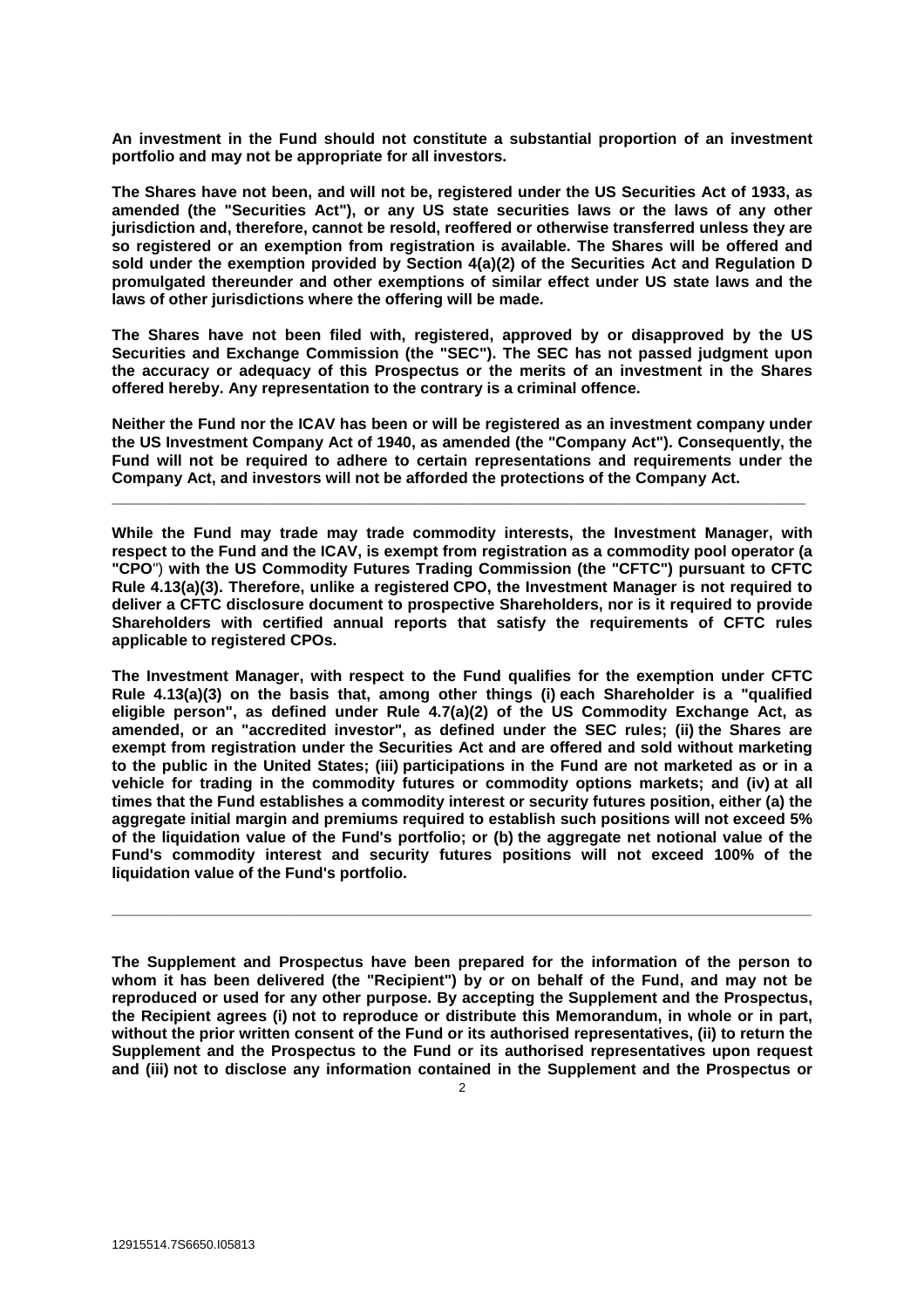**An investment in the Fund should not constitute a substantial proportion of an investment portfolio and may not be appropriate for all investors.**

**The Shares have not been, and will not be, registered under the US Securities Act of 1933, as amended (the "Securities Act"), or any US state securities laws or the laws of any other jurisdiction and, therefore, cannot be resold, reoffered or otherwise transferred unless they are so registered or an exemption from registration is available. The Shares will be offered and sold under the exemption provided by Section 4(a)(2) of the Securities Act and Regulation D promulgated thereunder and other exemptions of similar effect under US state laws and the laws of other jurisdictions where the offering will be made.**

**The Shares have not been filed with, registered, approved by or disapproved by the US Securities and Exchange Commission (the "SEC"). The SEC has not passed judgment upon the accuracy or adequacy of this Prospectus or the merits of an investment in the Shares offered hereby. Any representation to the contrary is a criminal offence.**

**Neither the Fund nor the ICAV has been or will be registered as an investment company under the US Investment Company Act of 1940, as amended (the "Company Act"). Consequently, the Fund will not be required to adhere to certain representations and requirements under the Company Act, and investors will not be afforded the protections of the Company Act.** 

**\_\_\_\_\_\_\_\_\_\_\_\_\_\_\_\_\_\_\_\_\_\_\_\_\_\_\_\_\_\_\_\_\_\_\_\_\_\_\_\_\_\_\_\_\_\_\_\_\_\_\_\_\_\_\_\_\_\_\_\_\_\_\_\_\_\_\_\_\_\_\_\_\_**

**While the Fund may trade may trade commodity interests, the Investment Manager, with respect to the Fund and the ICAV, is exempt from registration as a commodity pool operator (a "CPO**") **with the US Commodity Futures Trading Commission (the "CFTC") pursuant to CFTC Rule 4.13(a)(3). Therefore, unlike a registered CPO, the Investment Manager is not required to deliver a CFTC disclosure document to prospective Shareholders, nor is it required to provide Shareholders with certified annual reports that satisfy the requirements of CFTC rules applicable to registered CPOs.**

**The Investment Manager, with respect to the Fund qualifies for the exemption under CFTC Rule 4.13(a)(3) on the basis that, among other things (i) each Shareholder is a "qualified eligible person", as defined under Rule 4.7(a)(2) of the US Commodity Exchange Act, as amended, or an "accredited investor", as defined under the SEC rules; (ii) the Shares are exempt from registration under the Securities Act and are offered and sold without marketing to the public in the United States; (iii) participations in the Fund are not marketed as or in a vehicle for trading in the commodity futures or commodity options markets; and (iv) at all times that the Fund establishes a commodity interest or security futures position, either (a) the aggregate initial margin and premiums required to establish such positions will not exceed 5% of the liquidation value of the Fund's portfolio; or (b) the aggregate net notional value of the Fund's commodity interest and security futures positions will not exceed 100% of the liquidation value of the Fund's portfolio.**

**The Supplement and Prospectus have been prepared for the information of the person to whom it has been delivered (the "Recipient") by or on behalf of the Fund, and may not be reproduced or used for any other purpose. By accepting the Supplement and the Prospectus, the Recipient agrees (i) not to reproduce or distribute this Memorandum, in whole or in part, without the prior written consent of the Fund or its authorised representatives, (ii) to return the Supplement and the Prospectus to the Fund or its authorised representatives upon request and (iii) not to disclose any information contained in the Supplement and the Prospectus or** 

**\_\_\_\_\_\_\_\_\_\_\_\_\_\_\_\_\_\_\_\_\_\_\_\_\_\_\_\_\_\_\_\_\_\_\_\_\_\_\_\_\_\_\_\_\_\_\_\_\_\_\_\_\_\_\_\_\_\_\_\_\_\_\_\_\_\_\_\_\_\_\_\_\_\_\_\_\_\_\_\_\_**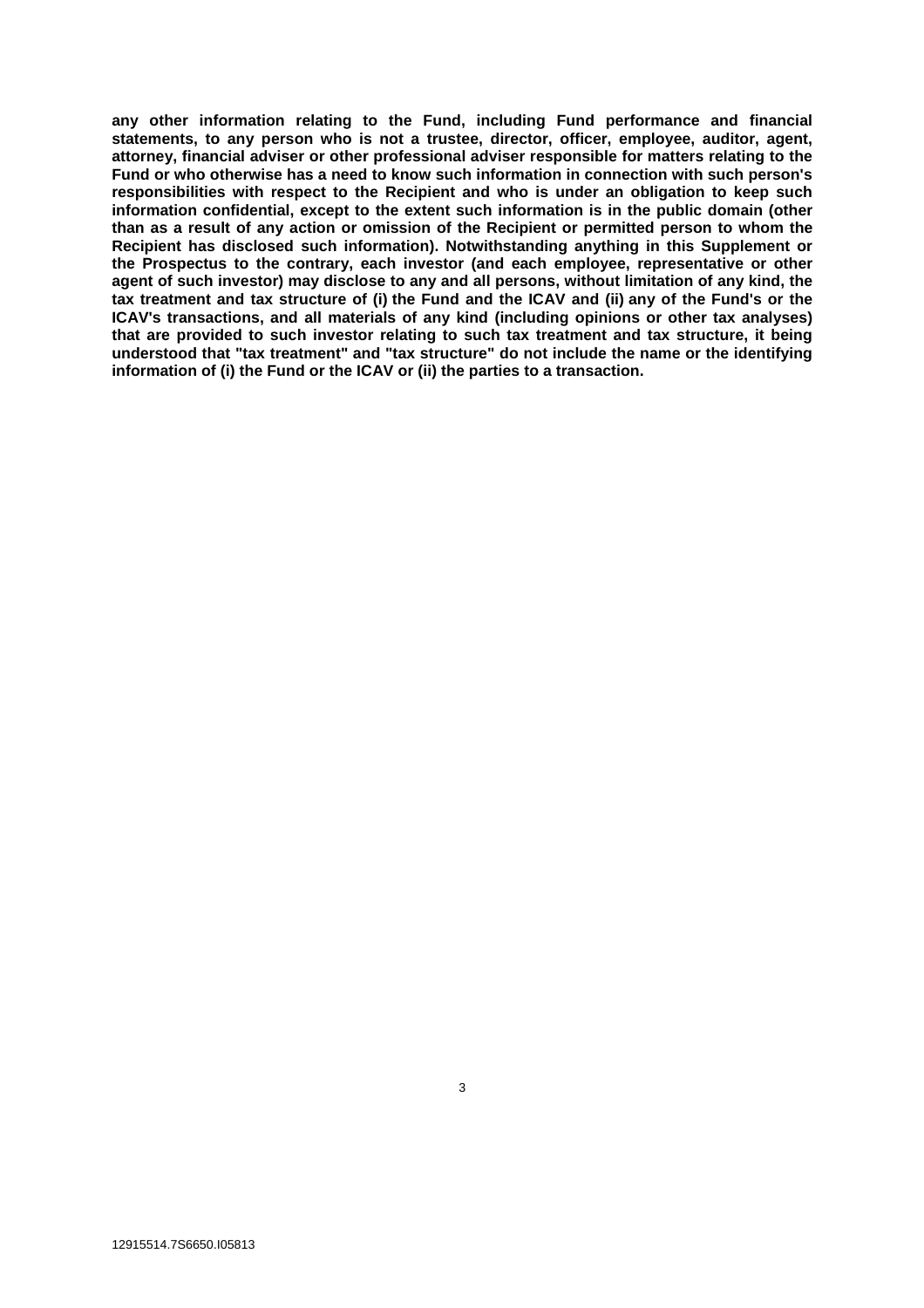**any other information relating to the Fund, including Fund performance and financial statements, to any person who is not a trustee, director, officer, employee, auditor, agent, attorney, financial adviser or other professional adviser responsible for matters relating to the Fund or who otherwise has a need to know such information in connection with such person's responsibilities with respect to the Recipient and who is under an obligation to keep such information confidential, except to the extent such information is in the public domain (other than as a result of any action or omission of the Recipient or permitted person to whom the Recipient has disclosed such information). Notwithstanding anything in this Supplement or the Prospectus to the contrary, each investor (and each employee, representative or other agent of such investor) may disclose to any and all persons, without limitation of any kind, the tax treatment and tax structure of (i) the Fund and the ICAV and (ii) any of the Fund's or the ICAV's transactions, and all materials of any kind (including opinions or other tax analyses) that are provided to such investor relating to such tax treatment and tax structure, it being understood that "tax treatment" and "tax structure" do not include the name or the identifying information of (i) the Fund or the ICAV or (ii) the parties to a transaction.**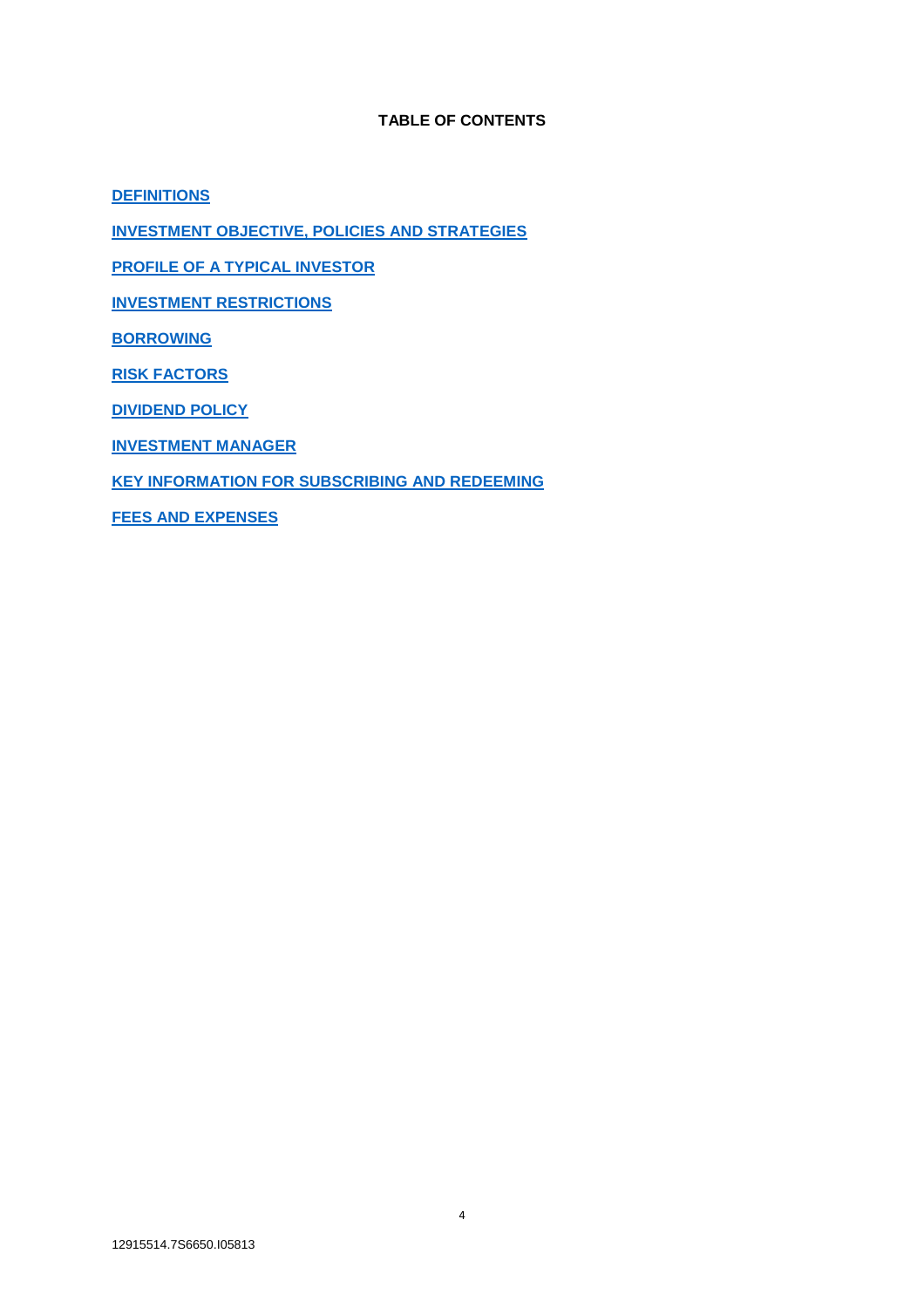# **TABLE OF CONTENTS**

**DEFINITIONS**

**INVESTMENT OBJECTIVE, POLICIES AND STRATEGIES**

**PROFILE OF A TYPICAL INVESTOR**

**INVESTMENT RESTRICTIONS**

**BORROWING**

**RISK FACTORS**

**DIVIDEND POLICY**

**INVESTMENT MANAGER**

**KEY INFORMATION FOR SUBSCRIBING AND REDEEMING**

**FEES AND EXPENSES**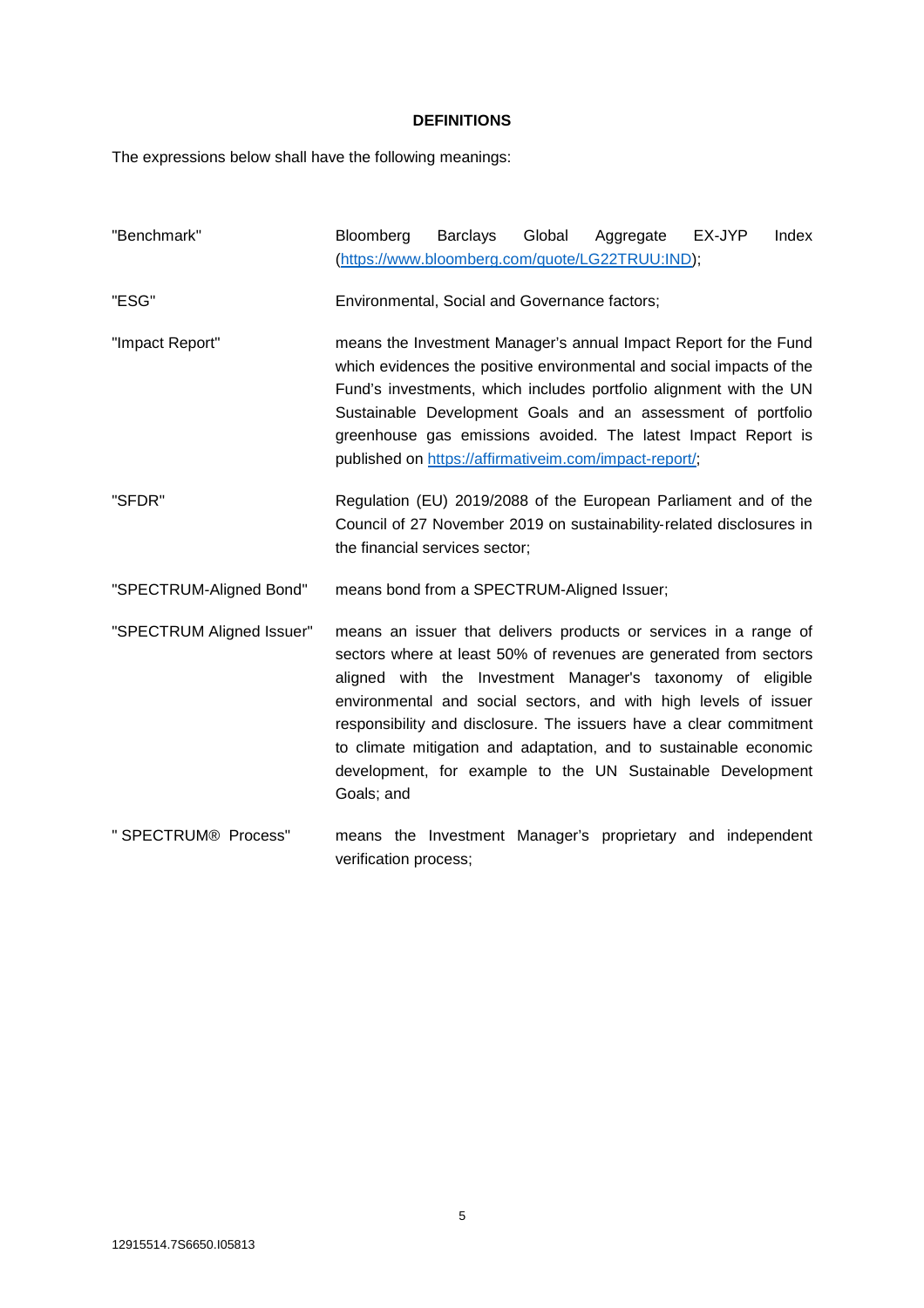# **DEFINITIONS**

The expressions below shall have the following meanings:

| "Benchmark"               | Bloomberg<br>(https://www.bloomberg.com/quote/LG22TRUU:IND);                                                                                                                                                                                                                                                                                                                                                                                                                                   | <b>Barclays</b> | Global | Aggregate | EX-JYP | Index |
|---------------------------|------------------------------------------------------------------------------------------------------------------------------------------------------------------------------------------------------------------------------------------------------------------------------------------------------------------------------------------------------------------------------------------------------------------------------------------------------------------------------------------------|-----------------|--------|-----------|--------|-------|
| "ESG"                     | Environmental, Social and Governance factors;                                                                                                                                                                                                                                                                                                                                                                                                                                                  |                 |        |           |        |       |
| "Impact Report"           | means the Investment Manager's annual Impact Report for the Fund<br>which evidences the positive environmental and social impacts of the<br>Fund's investments, which includes portfolio alignment with the UN<br>Sustainable Development Goals and an assessment of portfolio<br>greenhouse gas emissions avoided. The latest Impact Report is<br>published on https://affirmativeim.com/impact-report/;                                                                                      |                 |        |           |        |       |
| "SFDR"                    | Regulation (EU) 2019/2088 of the European Parliament and of the<br>Council of 27 November 2019 on sustainability-related disclosures in<br>the financial services sector;                                                                                                                                                                                                                                                                                                                      |                 |        |           |        |       |
| "SPECTRUM-Aligned Bond"   | means bond from a SPECTRUM-Aligned Issuer;                                                                                                                                                                                                                                                                                                                                                                                                                                                     |                 |        |           |        |       |
| "SPECTRUM Aligned Issuer" | means an issuer that delivers products or services in a range of<br>sectors where at least 50% of revenues are generated from sectors<br>aligned with the Investment Manager's taxonomy of eligible<br>environmental and social sectors, and with high levels of issuer<br>responsibility and disclosure. The issuers have a clear commitment<br>to climate mitigation and adaptation, and to sustainable economic<br>development, for example to the UN Sustainable Development<br>Goals; and |                 |        |           |        |       |
| " SPECTRUM® Process"      | means the Investment Manager's proprietary and independent<br>verification process;                                                                                                                                                                                                                                                                                                                                                                                                            |                 |        |           |        |       |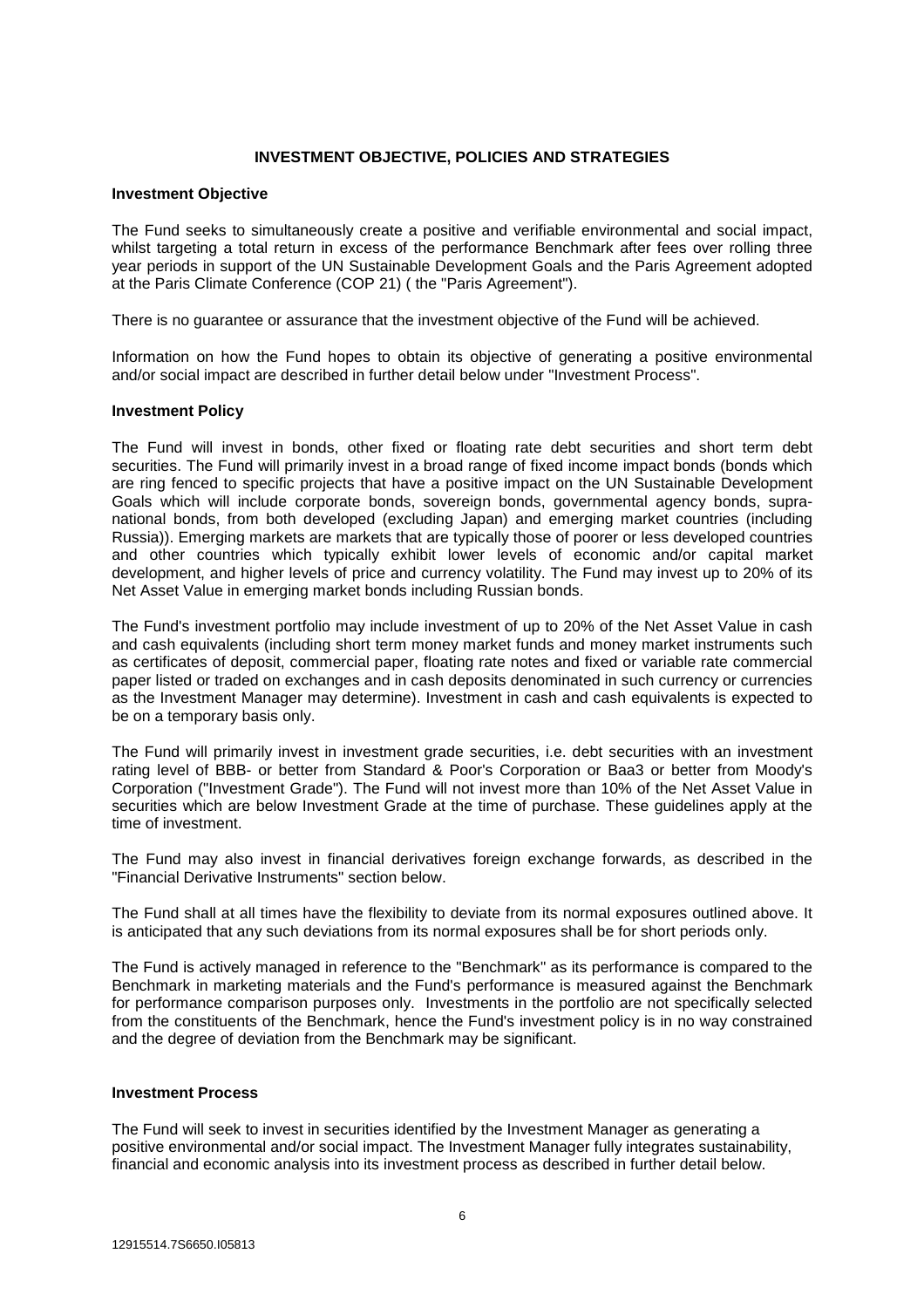# **INVESTMENT OBJECTIVE, POLICIES AND STRATEGIES**

#### **Investment Objective**

The Fund seeks to simultaneously create a positive and verifiable environmental and social impact, whilst targeting a total return in excess of the performance Benchmark after fees over rolling three year periods in support of the UN Sustainable Development Goals and the Paris Agreement adopted at the Paris Climate Conference (COP 21) ( the "Paris Agreement").

There is no guarantee or assurance that the investment objective of the Fund will be achieved.

Information on how the Fund hopes to obtain its objective of generating a positive environmental and/or social impact are described in further detail below under "Investment Process".

#### **Investment Policy**

The Fund will invest in bonds, other fixed or floating rate debt securities and short term debt securities. The Fund will primarily invest in a broad range of fixed income impact bonds (bonds which are ring fenced to specific projects that have a positive impact on the UN Sustainable Development Goals which will include corporate bonds, sovereign bonds, governmental agency bonds, supranational bonds, from both developed (excluding Japan) and emerging market countries (including Russia)). Emerging markets are markets that are typically those of poorer or less developed countries and other countries which typically exhibit lower levels of economic and/or capital market development, and higher levels of price and currency volatility. The Fund may invest up to 20% of its Net Asset Value in emerging market bonds including Russian bonds.

The Fund's investment portfolio may include investment of up to 20% of the Net Asset Value in cash and cash equivalents (including short term money market funds and money market instruments such as certificates of deposit, commercial paper, floating rate notes and fixed or variable rate commercial paper listed or traded on exchanges and in cash deposits denominated in such currency or currencies as the Investment Manager may determine). Investment in cash and cash equivalents is expected to be on a temporary basis only.

The Fund will primarily invest in investment grade securities, i.e. debt securities with an investment rating level of BBB- or better from Standard & Poor's Corporation or Baa3 or better from Moody's Corporation ("Investment Grade"). The Fund will not invest more than 10% of the Net Asset Value in securities which are below Investment Grade at the time of purchase. These guidelines apply at the time of investment.

The Fund may also invest in financial derivatives foreign exchange forwards, as described in the "Financial Derivative Instruments" section below.

The Fund shall at all times have the flexibility to deviate from its normal exposures outlined above. It is anticipated that any such deviations from its normal exposures shall be for short periods only.

The Fund is actively managed in reference to the "Benchmark" as its performance is compared to the Benchmark in marketing materials and the Fund's performance is measured against the Benchmark for performance comparison purposes only. Investments in the portfolio are not specifically selected from the constituents of the Benchmark, hence the Fund's investment policy is in no way constrained and the degree of deviation from the Benchmark may be significant.

#### **Investment Process**

The Fund will seek to invest in securities identified by the Investment Manager as generating a positive environmental and/or social impact. The Investment Manager fully integrates sustainability, financial and economic analysis into its investment process as described in further detail below.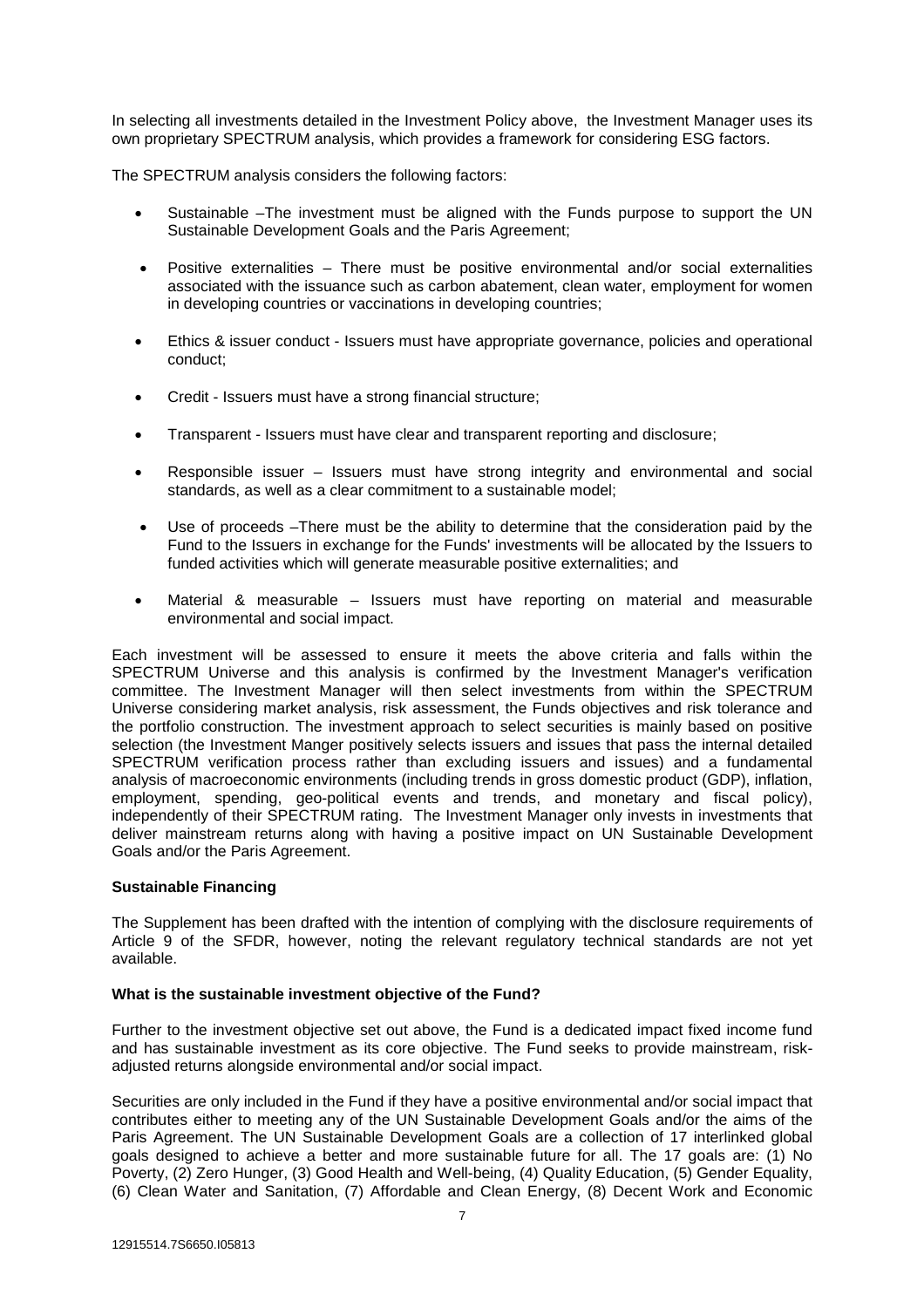In selecting all investments detailed in the Investment Policy above, the Investment Manager uses its own proprietary SPECTRUM analysis, which provides a framework for considering ESG factors.

The SPECTRUM analysis considers the following factors:

- Sustainable –The investment must be aligned with the Funds purpose to support the UN Sustainable Development Goals and the Paris Agreement;
- Positive externalities There must be positive environmental and/or social externalities associated with the issuance such as carbon abatement, clean water, employment for women in developing countries or vaccinations in developing countries;
- Ethics & issuer conduct Issuers must have appropriate governance, policies and operational conduct;
- Credit Issuers must have a strong financial structure;
- Transparent Issuers must have clear and transparent reporting and disclosure;
- Responsible issuer Issuers must have strong integrity and environmental and social standards, as well as a clear commitment to a sustainable model;
- Use of proceeds –There must be the ability to determine that the consideration paid by the Fund to the Issuers in exchange for the Funds' investments will be allocated by the Issuers to funded activities which will generate measurable positive externalities; and
- Material & measurable Issuers must have reporting on material and measurable environmental and social impact.

Each investment will be assessed to ensure it meets the above criteria and falls within the SPECTRUM Universe and this analysis is confirmed by the Investment Manager's verification committee. The Investment Manager will then select investments from within the SPECTRUM Universe considering market analysis, risk assessment, the Funds objectives and risk tolerance and the portfolio construction. The investment approach to select securities is mainly based on positive selection (the Investment Manger positively selects issuers and issues that pass the internal detailed SPECTRUM verification process rather than excluding issuers and issues) and a fundamental analysis of macroeconomic environments (including trends in gross domestic product (GDP), inflation, employment, spending, geo-political events and trends, and monetary and fiscal policy), independently of their SPECTRUM rating. The Investment Manager only invests in investments that deliver mainstream returns along with having a positive impact on UN Sustainable Development Goals and/or the Paris Agreement.

# **Sustainable Financing**

The Supplement has been drafted with the intention of complying with the disclosure requirements of Article 9 of the SFDR, however, noting the relevant regulatory technical standards are not yet available.

# **What is the sustainable investment objective of the Fund?**

Further to the investment objective set out above, the Fund is a dedicated impact fixed income fund and has sustainable investment as its core objective. The Fund seeks to provide mainstream, riskadjusted returns alongside environmental and/or social impact.

Securities are only included in the Fund if they have a positive environmental and/or social impact that contributes either to meeting any of the UN Sustainable Development Goals and/or the aims of the Paris Agreement. The UN Sustainable Development Goals are a collection of 17 interlinked global goals designed to achieve a better and more sustainable future for all. The 17 goals are: (1) No Poverty, (2) Zero Hunger, (3) Good Health and Well-being, (4) Quality Education, (5) Gender Equality, (6) Clean Water and Sanitation, (7) Affordable and Clean Energy, (8) Decent Work and Economic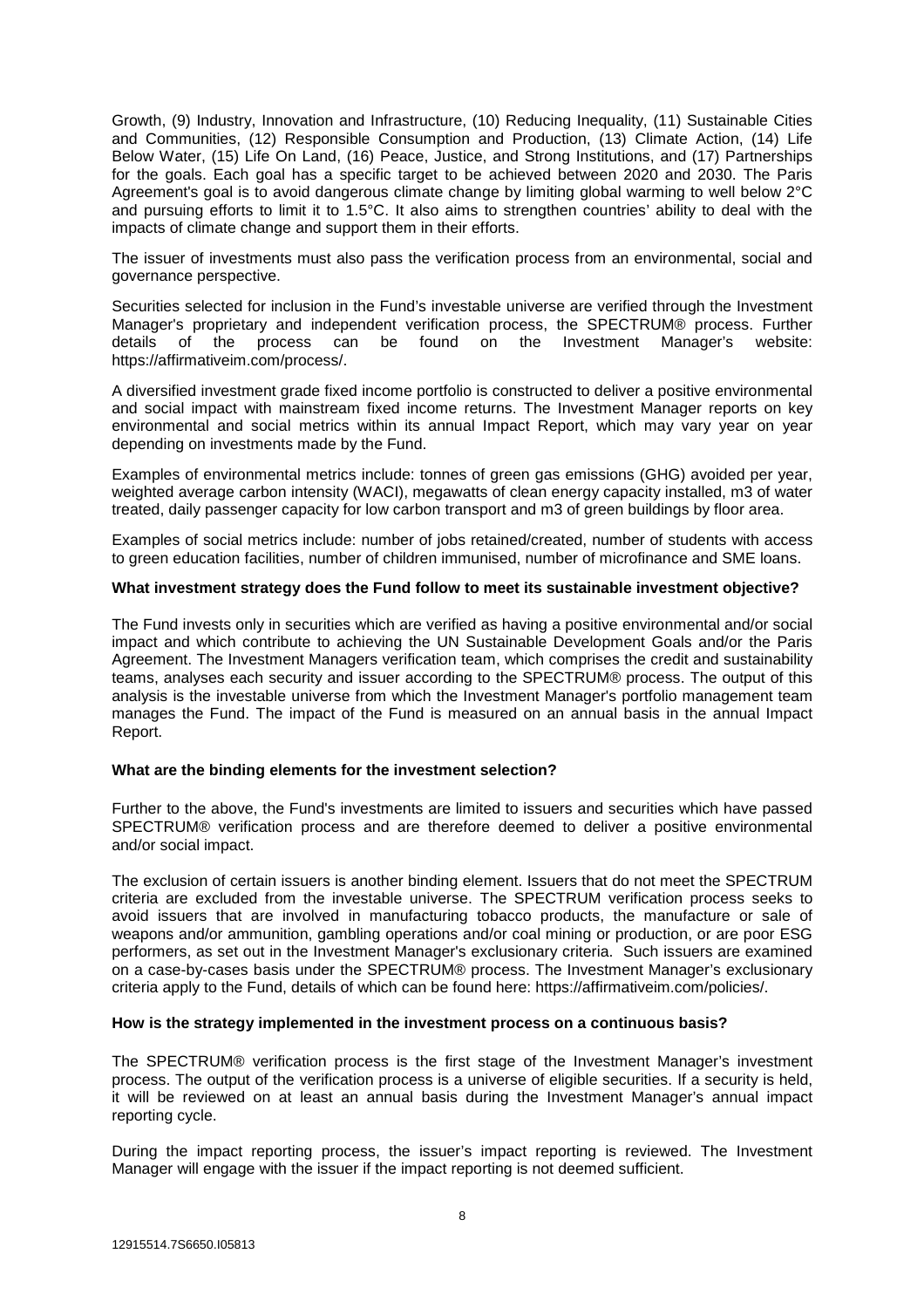Growth, (9) Industry, Innovation and Infrastructure, (10) Reducing Inequality, (11) Sustainable Cities and Communities, (12) Responsible Consumption and Production, (13) Climate Action, (14) Life Below Water, (15) Life On Land, (16) Peace, Justice, and Strong Institutions, and (17) Partnerships for the goals. Each goal has a specific target to be achieved between 2020 and 2030. The Paris Agreement's goal is to avoid dangerous climate change by limiting global warming to well below 2°C and pursuing efforts to limit it to 1.5°C. It also aims to strengthen countries' ability to deal with the impacts of climate change and support them in their efforts.

The issuer of investments must also pass the verification process from an environmental, social and governance perspective.

Securities selected for inclusion in the Fund's investable universe are verified through the Investment Manager's proprietary and independent verification process, the SPECTRUM® process. Further details of the process can be found on the Investment Manager's website: details of the process can be found on the Investment Manager's website: https://affirmativeim.com/process/.

A diversified investment grade fixed income portfolio is constructed to deliver a positive environmental and social impact with mainstream fixed income returns. The Investment Manager reports on key environmental and social metrics within its annual Impact Report, which may vary year on year depending on investments made by the Fund.

Examples of environmental metrics include: tonnes of green gas emissions (GHG) avoided per year, weighted average carbon intensity (WACI), megawatts of clean energy capacity installed, m3 of water treated, daily passenger capacity for low carbon transport and m3 of green buildings by floor area.

Examples of social metrics include: number of jobs retained/created, number of students with access to green education facilities, number of children immunised, number of microfinance and SME loans.

# **What investment strategy does the Fund follow to meet its sustainable investment objective?**

The Fund invests only in securities which are verified as having a positive environmental and/or social impact and which contribute to achieving the UN Sustainable Development Goals and/or the Paris Agreement. The Investment Managers verification team, which comprises the credit and sustainability teams, analyses each security and issuer according to the SPECTRUM® process. The output of this analysis is the investable universe from which the Investment Manager's portfolio management team manages the Fund. The impact of the Fund is measured on an annual basis in the annual Impact Report.

# **What are the binding elements for the investment selection?**

Further to the above, the Fund's investments are limited to issuers and securities which have passed SPECTRUM® verification process and are therefore deemed to deliver a positive environmental and/or social impact.

The exclusion of certain issuers is another binding element. Issuers that do not meet the SPECTRUM criteria are excluded from the investable universe. The SPECTRUM verification process seeks to avoid issuers that are involved in manufacturing tobacco products, the manufacture or sale of weapons and/or ammunition, gambling operations and/or coal mining or production, or are poor ESG performers, as set out in the Investment Manager's exclusionary criteria. Such issuers are examined on a case-by-cases basis under the SPECTRUM® process. The Investment Manager's exclusionary criteria apply to the Fund, details of which can be found here: https://affirmativeim.com/policies/.

# **How is the strategy implemented in the investment process on a continuous basis?**

The SPECTRUM® verification process is the first stage of the Investment Manager's investment process. The output of the verification process is a universe of eligible securities. If a security is held, it will be reviewed on at least an annual basis during the Investment Manager's annual impact reporting cycle.

During the impact reporting process, the issuer's impact reporting is reviewed. The Investment Manager will engage with the issuer if the impact reporting is not deemed sufficient.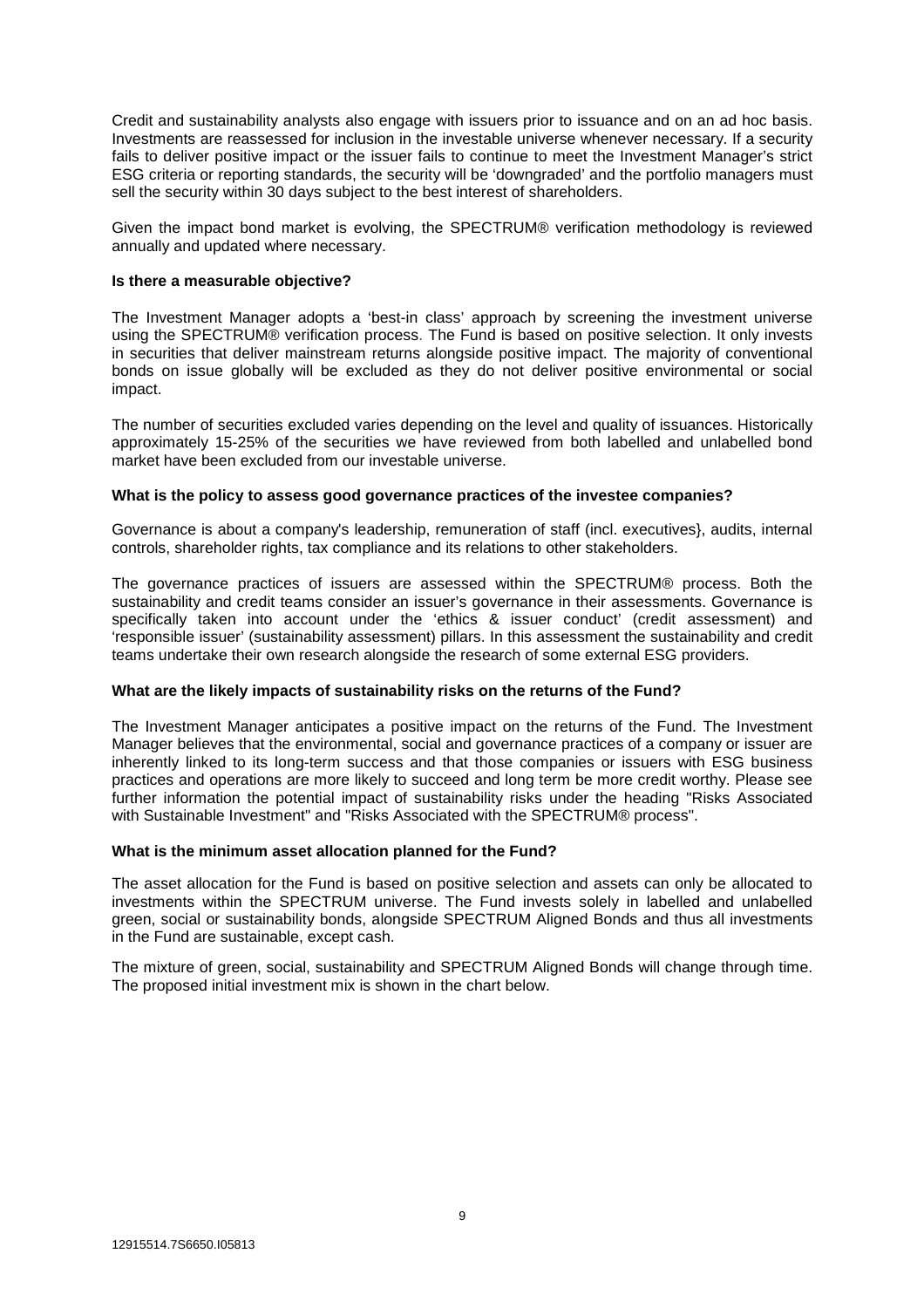Credit and sustainability analysts also engage with issuers prior to issuance and on an ad hoc basis. Investments are reassessed for inclusion in the investable universe whenever necessary. If a security fails to deliver positive impact or the issuer fails to continue to meet the Investment Manager's strict ESG criteria or reporting standards, the security will be 'downgraded' and the portfolio managers must sell the security within 30 days subject to the best interest of shareholders.

Given the impact bond market is evolving, the SPECTRUM® verification methodology is reviewed annually and updated where necessary.

#### **Is there a measurable objective?**

The Investment Manager adopts a 'best-in class' approach by screening the investment universe using the SPECTRUM® verification process. The Fund is based on positive selection. It only invests in securities that deliver mainstream returns alongside positive impact. The majority of conventional bonds on issue globally will be excluded as they do not deliver positive environmental or social impact.

The number of securities excluded varies depending on the level and quality of issuances. Historically approximately 15-25% of the securities we have reviewed from both labelled and unlabelled bond market have been excluded from our investable universe.

#### **What is the policy to assess good governance practices of the investee companies?**

Governance is about a company's leadership, remuneration of staff (incl. executives}, audits, internal controls, shareholder rights, tax compliance and its relations to other stakeholders.

The governance practices of issuers are assessed within the SPECTRUM® process. Both the sustainability and credit teams consider an issuer's governance in their assessments. Governance is specifically taken into account under the 'ethics & issuer conduct' (credit assessment) and 'responsible issuer' (sustainability assessment) pillars. In this assessment the sustainability and credit teams undertake their own research alongside the research of some external ESG providers.

# **What are the likely impacts of sustainability risks on the returns of the Fund?**

The Investment Manager anticipates a positive impact on the returns of the Fund. The Investment Manager believes that the environmental, social and governance practices of a company or issuer are inherently linked to its long-term success and that those companies or issuers with ESG business practices and operations are more likely to succeed and long term be more credit worthy. Please see further information the potential impact of sustainability risks under the heading "Risks Associated with Sustainable Investment" and "Risks Associated with the SPECTRUM® process".

#### **What is the minimum asset allocation planned for the Fund?**

The asset allocation for the Fund is based on positive selection and assets can only be allocated to investments within the SPECTRUM universe. The Fund invests solely in labelled and unlabelled green, social or sustainability bonds, alongside SPECTRUM Aligned Bonds and thus all investments in the Fund are sustainable, except cash.

The mixture of green, social, sustainability and SPECTRUM Aligned Bonds will change through time. The proposed initial investment mix is shown in the chart below.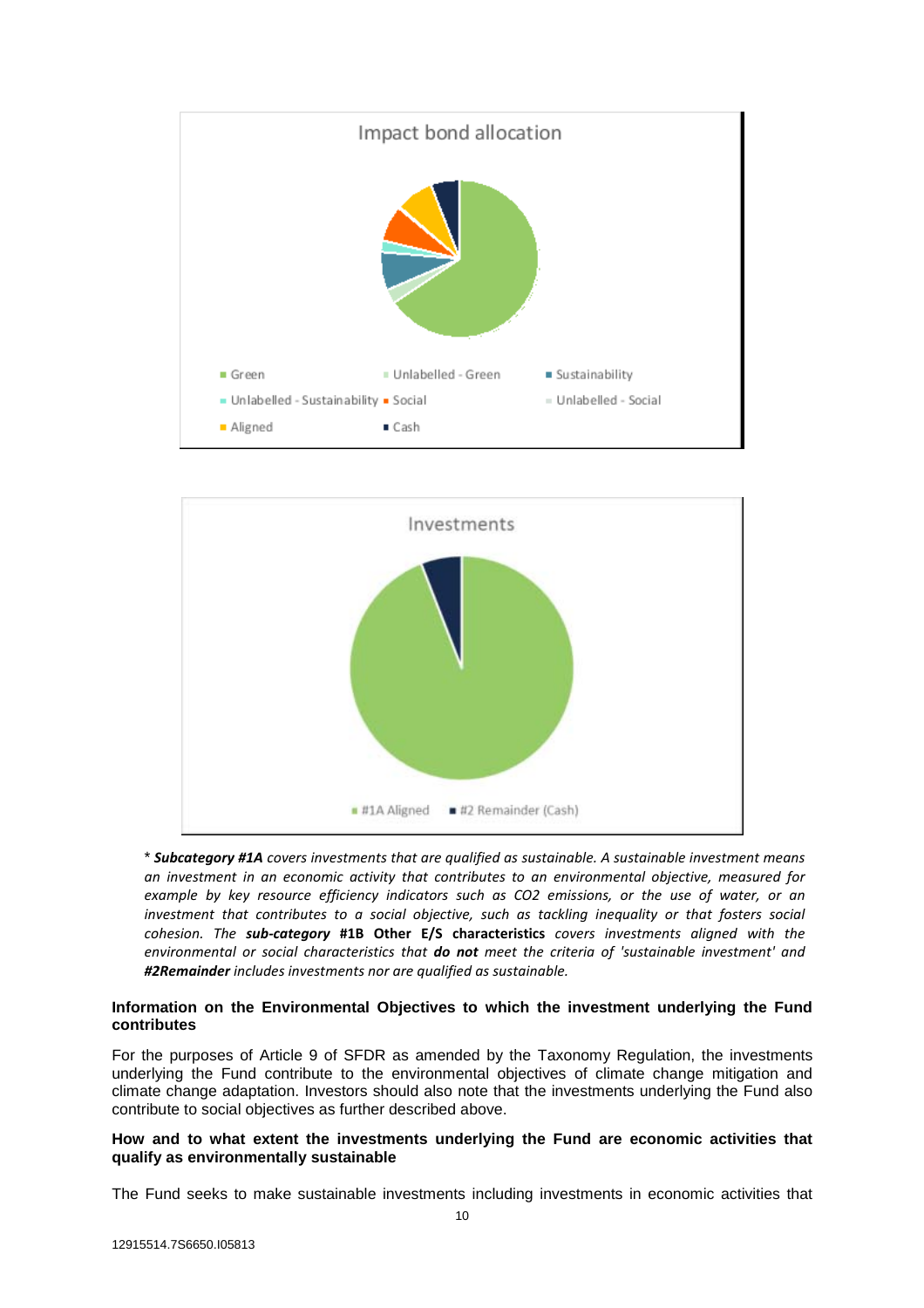



\* *Subcategory #1A covers investments that are qualified as sustainable. A sustainable investment means an investment in an economic activity that contributes to an environmental objective, measured for example by key resource efficiency indicators such as CO2 emissions, or the use of water, or an investment that contributes to a social objective, such as tackling inequality or that fosters social cohesion. The sub-category* **#1B Other E/S characteristics** *covers investments aligned with the environmental or social characteristics that do not meet the criteria of 'sustainable investment' and #2Remainder includes investments nor are qualified as sustainable.*

# **Information on the Environmental Objectives to which the investment underlying the Fund contributes**

For the purposes of Article 9 of SFDR as amended by the Taxonomy Regulation, the investments underlying the Fund contribute to the environmental objectives of climate change mitigation and climate change adaptation. Investors should also note that the investments underlying the Fund also contribute to social objectives as further described above.

# **How and to what extent the investments underlying the Fund are economic activities that qualify as environmentally sustainable**

The Fund seeks to make sustainable investments including investments in economic activities that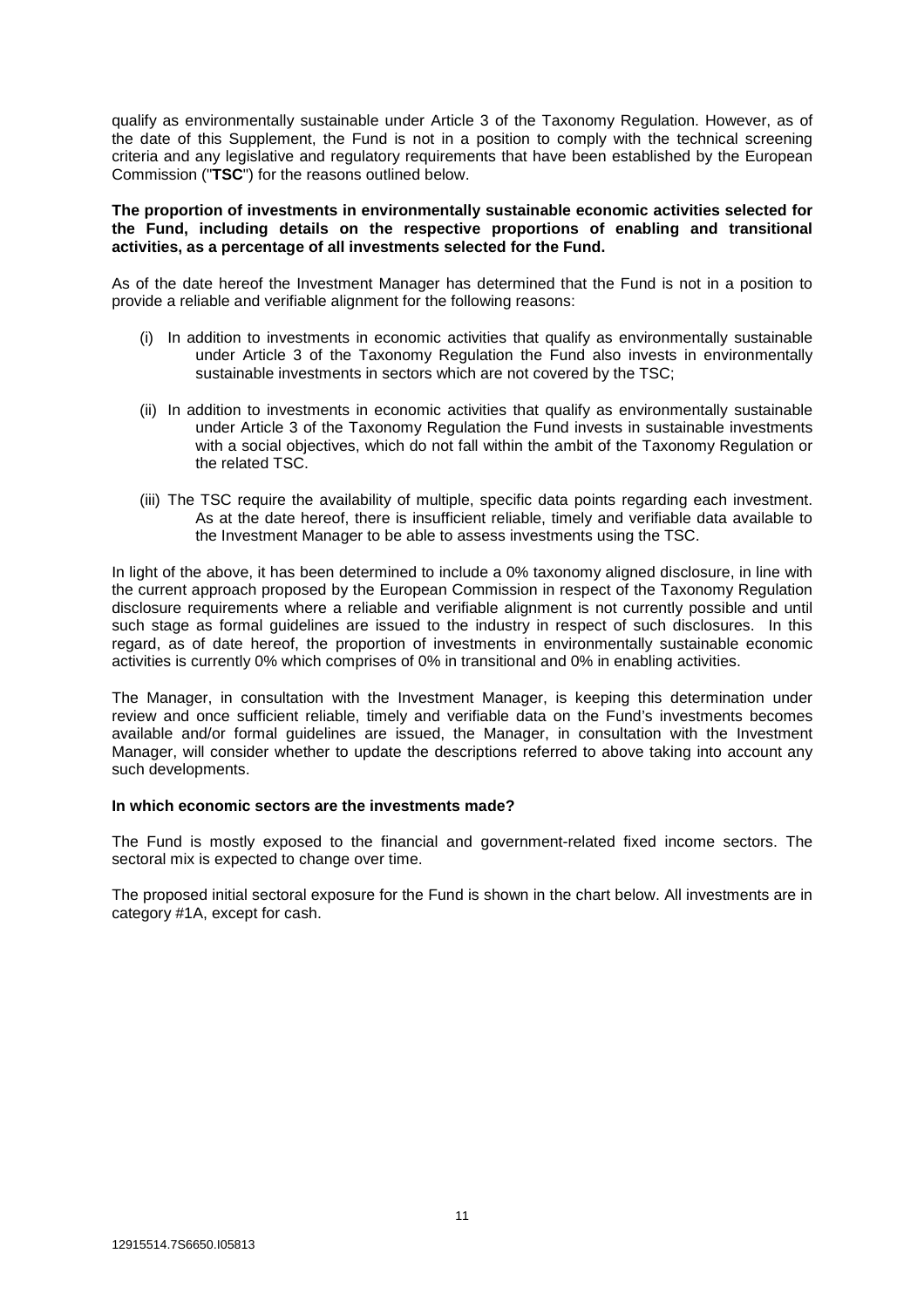qualify as environmentally sustainable under Article 3 of the Taxonomy Regulation. However, as of the date of this Supplement, the Fund is not in a position to comply with the technical screening criteria and any legislative and regulatory requirements that have been established by the European Commission ("**TSC**") for the reasons outlined below.

#### **The proportion of investments in environmentally sustainable economic activities selected for the Fund, including details on the respective proportions of enabling and transitional activities, as a percentage of all investments selected for the Fund.**

As of the date hereof the Investment Manager has determined that the Fund is not in a position to provide a reliable and verifiable alignment for the following reasons:

- (i) In addition to investments in economic activities that qualify as environmentally sustainable under Article 3 of the Taxonomy Regulation the Fund also invests in environmentally sustainable investments in sectors which are not covered by the TSC;
- (ii) In addition to investments in economic activities that qualify as environmentally sustainable under Article 3 of the Taxonomy Regulation the Fund invests in sustainable investments with a social objectives, which do not fall within the ambit of the Taxonomy Regulation or the related TSC.
- (iii) The TSC require the availability of multiple, specific data points regarding each investment. As at the date hereof, there is insufficient reliable, timely and verifiable data available to the Investment Manager to be able to assess investments using the TSC.

In light of the above, it has been determined to include a 0% taxonomy aligned disclosure, in line with the current approach proposed by the European Commission in respect of the Taxonomy Regulation disclosure requirements where a reliable and verifiable alignment is not currently possible and until such stage as formal guidelines are issued to the industry in respect of such disclosures. In this regard, as of date hereof, the proportion of investments in environmentally sustainable economic activities is currently 0% which comprises of 0% in transitional and 0% in enabling activities.

The Manager, in consultation with the Investment Manager, is keeping this determination under review and once sufficient reliable, timely and verifiable data on the Fund's investments becomes available and/or formal guidelines are issued, the Manager, in consultation with the Investment Manager, will consider whether to update the descriptions referred to above taking into account any such developments.

# **In which economic sectors are the investments made?**

The Fund is mostly exposed to the financial and government-related fixed income sectors. The sectoral mix is expected to change over time.

The proposed initial sectoral exposure for the Fund is shown in the chart below. All investments are in category #1A, except for cash.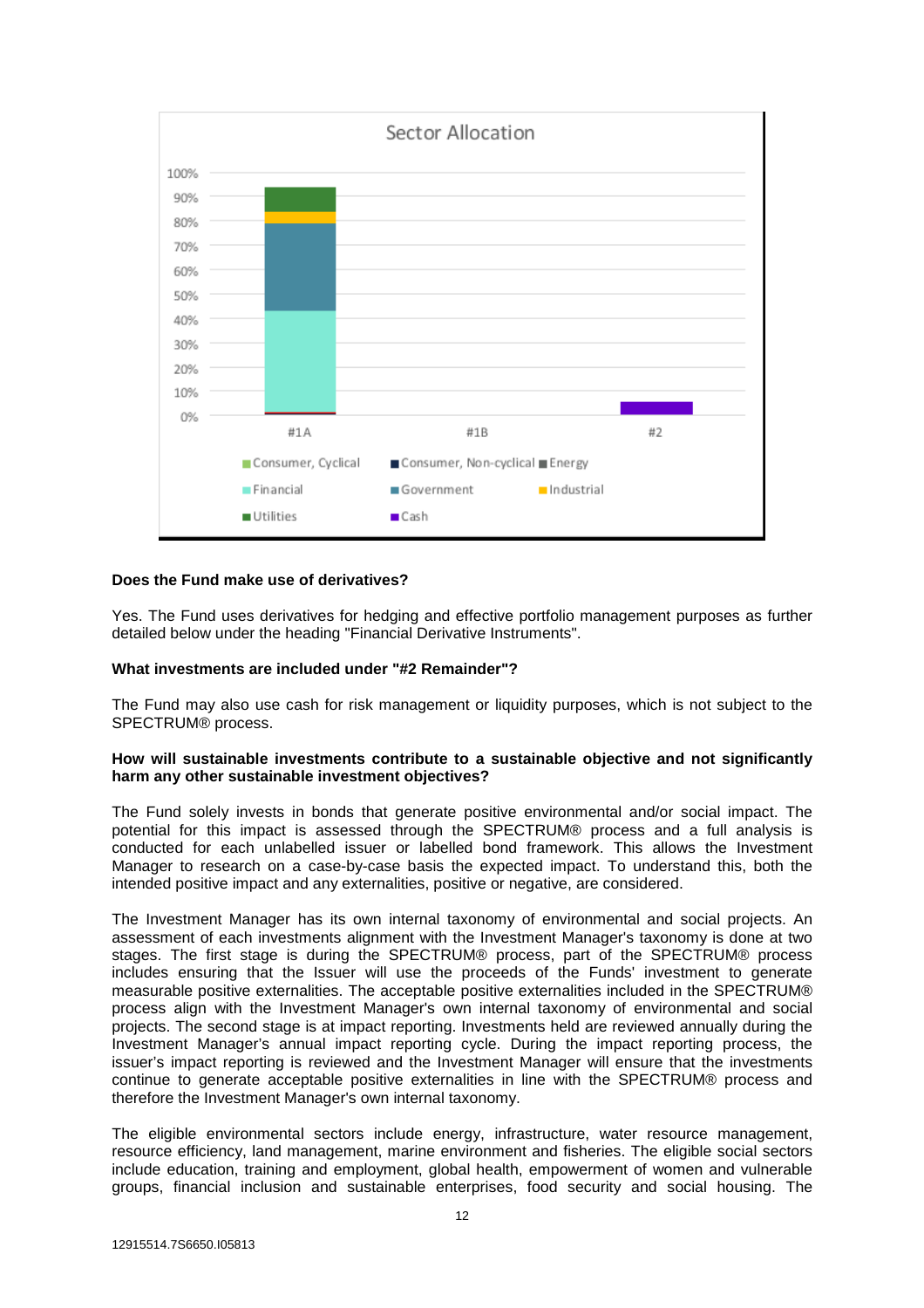

# **Does the Fund make use of derivatives?**

Yes. The Fund uses derivatives for hedging and effective portfolio management purposes as further detailed below under the heading "Financial Derivative Instruments".

# **What investments are included under "#2 Remainder"?**

The Fund may also use cash for risk management or liquidity purposes, which is not subject to the SPECTRUM® process.

#### **How will sustainable investments contribute to a sustainable objective and not significantly harm any other sustainable investment objectives?**

The Fund solely invests in bonds that generate positive environmental and/or social impact. The potential for this impact is assessed through the SPECTRUM® process and a full analysis is conducted for each unlabelled issuer or labelled bond framework. This allows the Investment Manager to research on a case-by-case basis the expected impact. To understand this, both the intended positive impact and any externalities, positive or negative, are considered.

The Investment Manager has its own internal taxonomy of environmental and social projects. An assessment of each investments alignment with the Investment Manager's taxonomy is done at two stages. The first stage is during the SPECTRUM® process, part of the SPECTRUM® process includes ensuring that the Issuer will use the proceeds of the Funds' investment to generate measurable positive externalities. The acceptable positive externalities included in the SPECTRUM® process align with the Investment Manager's own internal taxonomy of environmental and social projects. The second stage is at impact reporting. Investments held are reviewed annually during the Investment Manager's annual impact reporting cycle. During the impact reporting process, the issuer's impact reporting is reviewed and the Investment Manager will ensure that the investments continue to generate acceptable positive externalities in line with the SPECTRUM® process and therefore the Investment Manager's own internal taxonomy.

The eligible environmental sectors include energy, infrastructure, water resource management, resource efficiency, land management, marine environment and fisheries. The eligible social sectors include education, training and employment, global health, empowerment of women and vulnerable groups, financial inclusion and sustainable enterprises, food security and social housing. The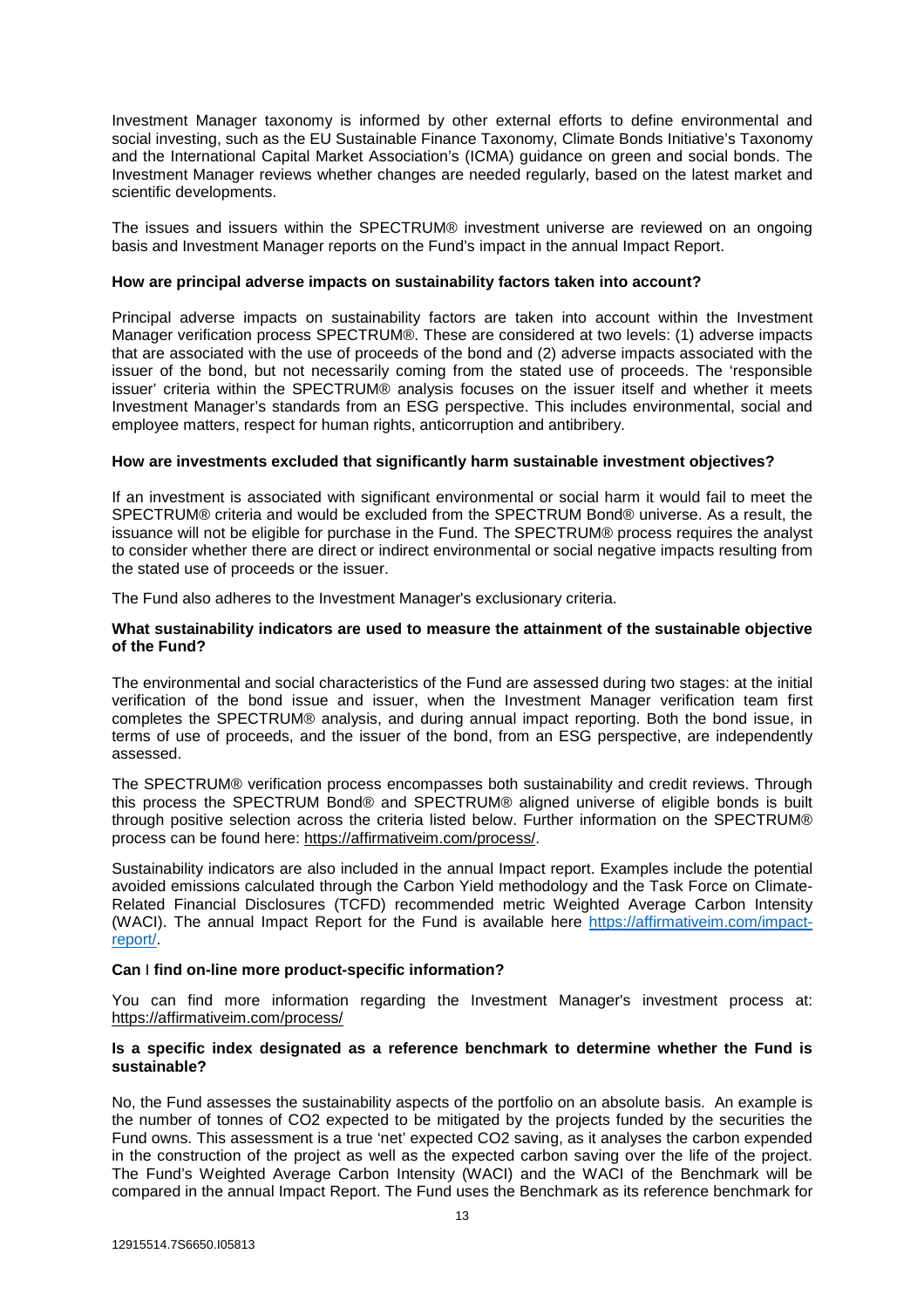Investment Manager taxonomy is informed by other external efforts to define environmental and social investing, such as the EU Sustainable Finance Taxonomy, Climate Bonds Initiative's Taxonomy and the International Capital Market Association's (ICMA) guidance on green and social bonds. The Investment Manager reviews whether changes are needed regularly, based on the latest market and scientific developments.

The issues and issuers within the SPECTRUM® investment universe are reviewed on an ongoing basis and Investment Manager reports on the Fund's impact in the annual Impact Report.

# **How are principal adverse impacts on sustainability factors taken into account?**

Principal adverse impacts on sustainability factors are taken into account within the Investment Manager verification process SPECTRUM®. These are considered at two levels: (1) adverse impacts that are associated with the use of proceeds of the bond and (2) adverse impacts associated with the issuer of the bond, but not necessarily coming from the stated use of proceeds. The 'responsible issuer' criteria within the SPECTRUM® analysis focuses on the issuer itself and whether it meets Investment Manager's standards from an ESG perspective. This includes environmental, social and employee matters, respect for human rights, anticorruption and antibribery.

#### **How are investments excluded that significantly harm sustainable investment objectives?**

If an investment is associated with significant environmental or social harm it would fail to meet the SPECTRUM® criteria and would be excluded from the SPECTRUM Bond® universe. As a result, the issuance will not be eligible for purchase in the Fund. The SPECTRUM® process requires the analyst to consider whether there are direct or indirect environmental or social negative impacts resulting from the stated use of proceeds or the issuer.

The Fund also adheres to the Investment Manager's exclusionary criteria.

#### **What sustainability indicators are used to measure the attainment of the sustainable objective of the Fund?**

The environmental and social characteristics of the Fund are assessed during two stages: at the initial verification of the bond issue and issuer, when the Investment Manager verification team first completes the SPECTRUM® analysis, and during annual impact reporting. Both the bond issue, in terms of use of proceeds, and the issuer of the bond, from an ESG perspective, are independently assessed.

The SPECTRUM® verification process encompasses both sustainability and credit reviews. Through this process the SPECTRUM Bond® and SPECTRUM® aligned universe of eligible bonds is built through positive selection across the criteria listed below. Further information on the SPECTRUM® process can be found here: https://affirmativeim.com/process/.

Sustainability indicators are also included in the annual Impact report. Examples include the potential avoided emissions calculated through the Carbon Yield methodology and the Task Force on Climate-Related Financial Disclosures (TCFD) recommended metric Weighted Average Carbon Intensity (WACI). The annual Impact Report for the Fund is available here https://affirmativeim.com/impactreport/.

# **Can** I **find on-line more product-specific information?**

You can find more information regarding the Investment Manager's investment process at: https://affirmativeim.com/process/

# **Is a specific index designated as a reference benchmark to determine whether the Fund is sustainable?**

No, the Fund assesses the sustainability aspects of the portfolio on an absolute basis. An example is the number of tonnes of CO2 expected to be mitigated by the projects funded by the securities the Fund owns. This assessment is a true 'net' expected CO2 saving, as it analyses the carbon expended in the construction of the project as well as the expected carbon saving over the life of the project. The Fund's Weighted Average Carbon Intensity (WACI) and the WACI of the Benchmark will be compared in the annual Impact Report. The Fund uses the Benchmark as its reference benchmark for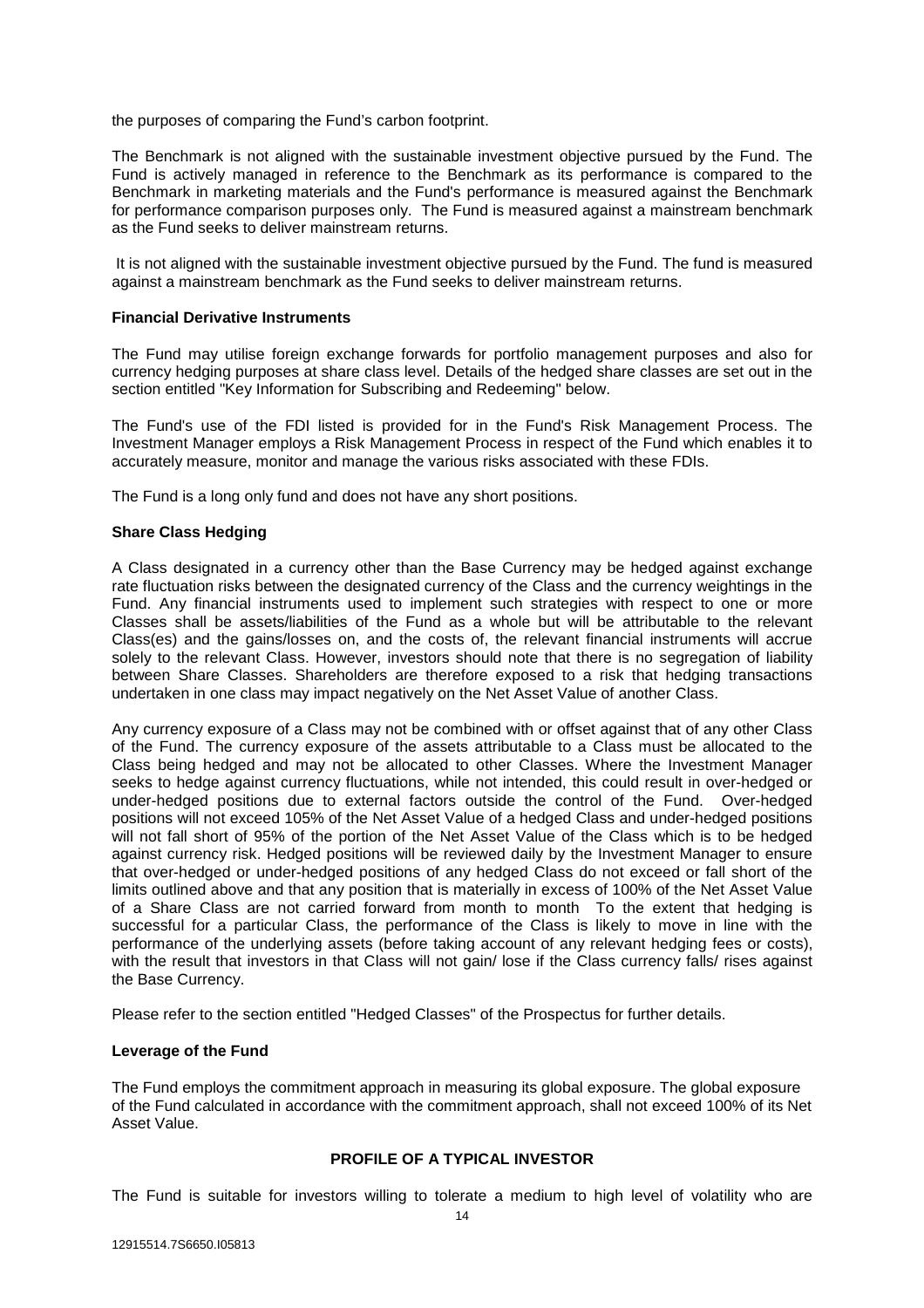the purposes of comparing the Fund's carbon footprint.

The Benchmark is not aligned with the sustainable investment objective pursued by the Fund. The Fund is actively managed in reference to the Benchmark as its performance is compared to the Benchmark in marketing materials and the Fund's performance is measured against the Benchmark for performance comparison purposes only. The Fund is measured against a mainstream benchmark as the Fund seeks to deliver mainstream returns.

 It is not aligned with the sustainable investment objective pursued by the Fund. The fund is measured against a mainstream benchmark as the Fund seeks to deliver mainstream returns.

#### **Financial Derivative Instruments**

The Fund may utilise foreign exchange forwards for portfolio management purposes and also for currency hedging purposes at share class level. Details of the hedged share classes are set out in the section entitled "Key Information for Subscribing and Redeeming" below.

The Fund's use of the FDI listed is provided for in the Fund's Risk Management Process. The Investment Manager employs a Risk Management Process in respect of the Fund which enables it to accurately measure, monitor and manage the various risks associated with these FDIs.

The Fund is a long only fund and does not have any short positions.

# **Share Class Hedging**

A Class designated in a currency other than the Base Currency may be hedged against exchange rate fluctuation risks between the designated currency of the Class and the currency weightings in the Fund. Any financial instruments used to implement such strategies with respect to one or more Classes shall be assets/liabilities of the Fund as a whole but will be attributable to the relevant Class(es) and the gains/losses on, and the costs of, the relevant financial instruments will accrue solely to the relevant Class. However, investors should note that there is no segregation of liability between Share Classes. Shareholders are therefore exposed to a risk that hedging transactions undertaken in one class may impact negatively on the Net Asset Value of another Class.

Any currency exposure of a Class may not be combined with or offset against that of any other Class of the Fund. The currency exposure of the assets attributable to a Class must be allocated to the Class being hedged and may not be allocated to other Classes. Where the Investment Manager seeks to hedge against currency fluctuations, while not intended, this could result in over-hedged or under-hedged positions due to external factors outside the control of the Fund. Over-hedged positions will not exceed 105% of the Net Asset Value of a hedged Class and under-hedged positions will not fall short of 95% of the portion of the Net Asset Value of the Class which is to be hedged against currency risk. Hedged positions will be reviewed daily by the Investment Manager to ensure that over-hedged or under-hedged positions of any hedged Class do not exceed or fall short of the limits outlined above and that any position that is materially in excess of 100% of the Net Asset Value of a Share Class are not carried forward from month to month To the extent that hedging is successful for a particular Class, the performance of the Class is likely to move in line with the performance of the underlying assets (before taking account of any relevant hedging fees or costs), with the result that investors in that Class will not gain/ lose if the Class currency falls/ rises against the Base Currency.

Please refer to the section entitled "Hedged Classes" of the Prospectus for further details.

#### **Leverage of the Fund**

The Fund employs the commitment approach in measuring its global exposure. The global exposure of the Fund calculated in accordance with the commitment approach, shall not exceed 100% of its Net Asset Value.

# **PROFILE OF A TYPICAL INVESTOR**

The Fund is suitable for investors willing to tolerate a medium to high level of volatility who are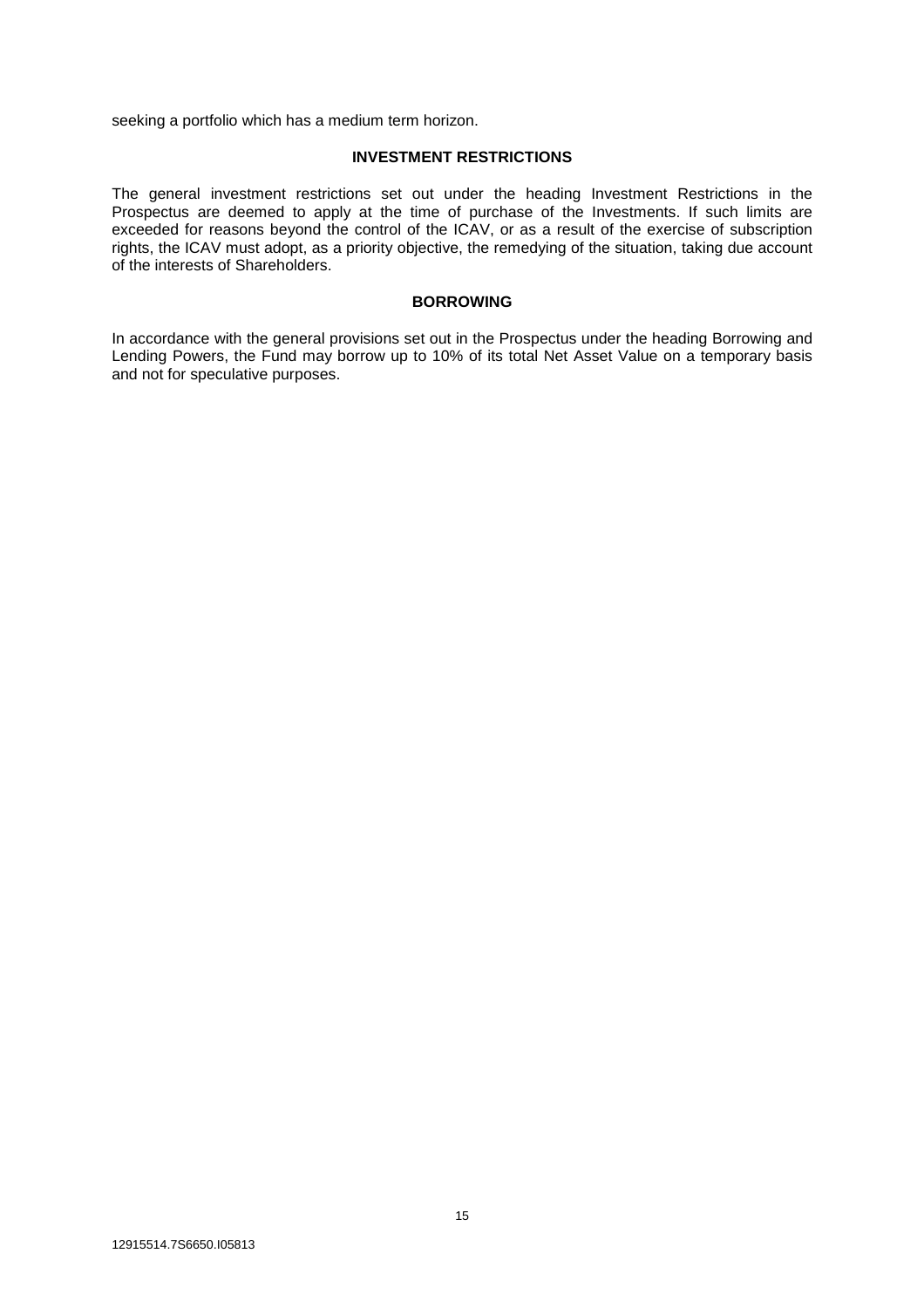seeking a portfolio which has a medium term horizon.

# **INVESTMENT RESTRICTIONS**

The general investment restrictions set out under the heading Investment Restrictions in the Prospectus are deemed to apply at the time of purchase of the Investments. If such limits are exceeded for reasons beyond the control of the ICAV, or as a result of the exercise of subscription rights, the ICAV must adopt, as a priority objective, the remedying of the situation, taking due account of the interests of Shareholders.

#### **BORROWING**

In accordance with the general provisions set out in the Prospectus under the heading Borrowing and Lending Powers, the Fund may borrow up to 10% of its total Net Asset Value on a temporary basis and not for speculative purposes.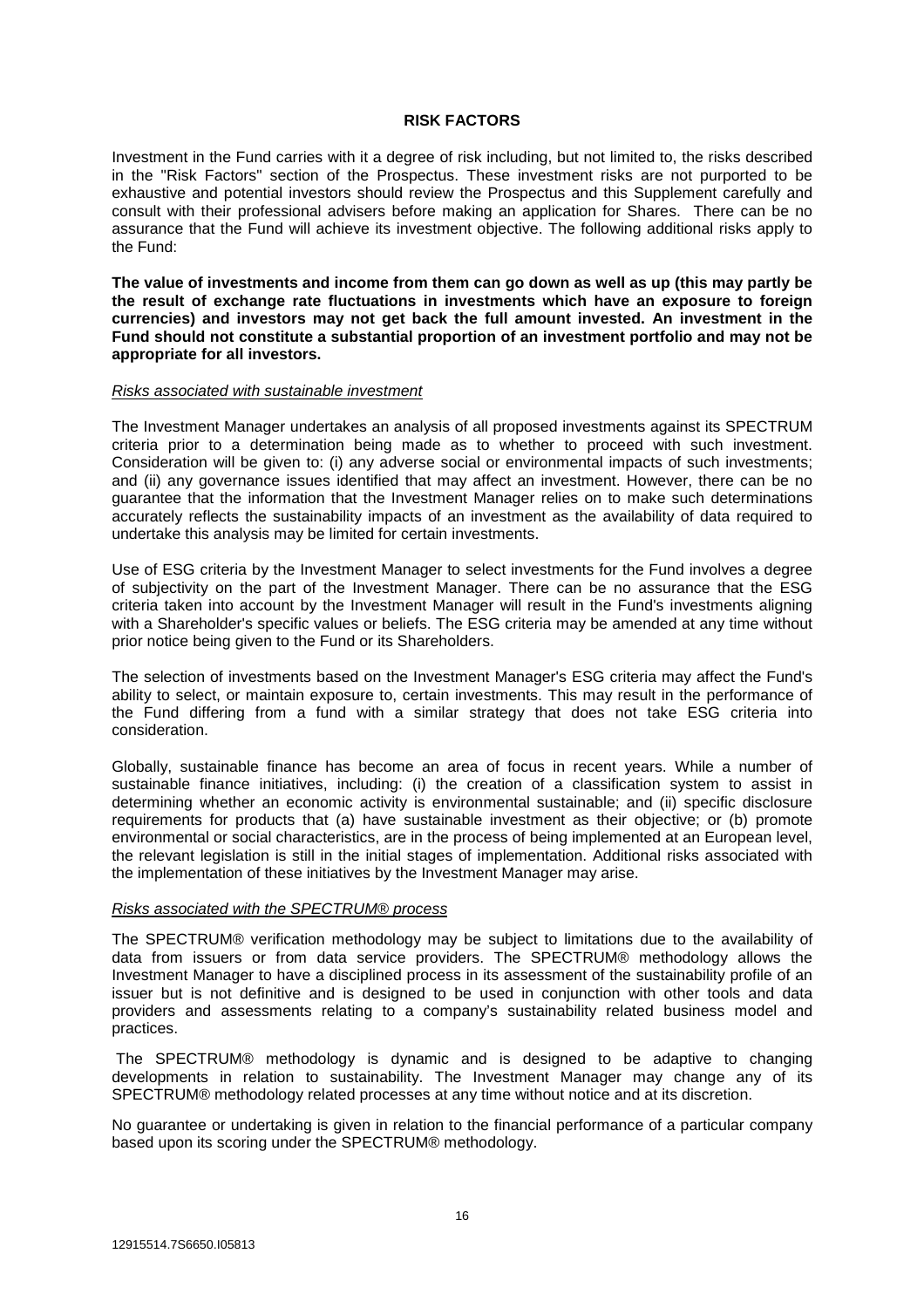#### **RISK FACTORS**

Investment in the Fund carries with it a degree of risk including, but not limited to, the risks described in the "Risk Factors" section of the Prospectus. These investment risks are not purported to be exhaustive and potential investors should review the Prospectus and this Supplement carefully and consult with their professional advisers before making an application for Shares. There can be no assurance that the Fund will achieve its investment objective. The following additional risks apply to the Fund:

**The value of investments and income from them can go down as well as up (this may partly be the result of exchange rate fluctuations in investments which have an exposure to foreign currencies) and investors may not get back the full amount invested. An investment in the Fund should not constitute a substantial proportion of an investment portfolio and may not be appropriate for all investors.** 

#### *Risks associated with sustainable investment*

The Investment Manager undertakes an analysis of all proposed investments against its SPECTRUM criteria prior to a determination being made as to whether to proceed with such investment. Consideration will be given to: (i) any adverse social or environmental impacts of such investments; and (ii) any governance issues identified that may affect an investment. However, there can be no guarantee that the information that the Investment Manager relies on to make such determinations accurately reflects the sustainability impacts of an investment as the availability of data required to undertake this analysis may be limited for certain investments.

Use of ESG criteria by the Investment Manager to select investments for the Fund involves a degree of subjectivity on the part of the Investment Manager. There can be no assurance that the ESG criteria taken into account by the Investment Manager will result in the Fund's investments aligning with a Shareholder's specific values or beliefs. The ESG criteria may be amended at any time without prior notice being given to the Fund or its Shareholders.

The selection of investments based on the Investment Manager's ESG criteria may affect the Fund's ability to select, or maintain exposure to, certain investments. This may result in the performance of the Fund differing from a fund with a similar strategy that does not take ESG criteria into consideration.

Globally, sustainable finance has become an area of focus in recent years. While a number of sustainable finance initiatives, including: (i) the creation of a classification system to assist in determining whether an economic activity is environmental sustainable; and (ii) specific disclosure requirements for products that (a) have sustainable investment as their objective; or (b) promote environmental or social characteristics, are in the process of being implemented at an European level, the relevant legislation is still in the initial stages of implementation. Additional risks associated with the implementation of these initiatives by the Investment Manager may arise.

# *Risks associated with the SPECTRUM® process*

The SPECTRUM® verification methodology may be subject to limitations due to the availability of data from issuers or from data service providers. The SPECTRUM® methodology allows the Investment Manager to have a disciplined process in its assessment of the sustainability profile of an issuer but is not definitive and is designed to be used in conjunction with other tools and data providers and assessments relating to a company's sustainability related business model and practices.

 The SPECTRUM® methodology is dynamic and is designed to be adaptive to changing developments in relation to sustainability. The Investment Manager may change any of its SPECTRUM® methodology related processes at any time without notice and at its discretion.

No guarantee or undertaking is given in relation to the financial performance of a particular company based upon its scoring under the SPECTRUM® methodology.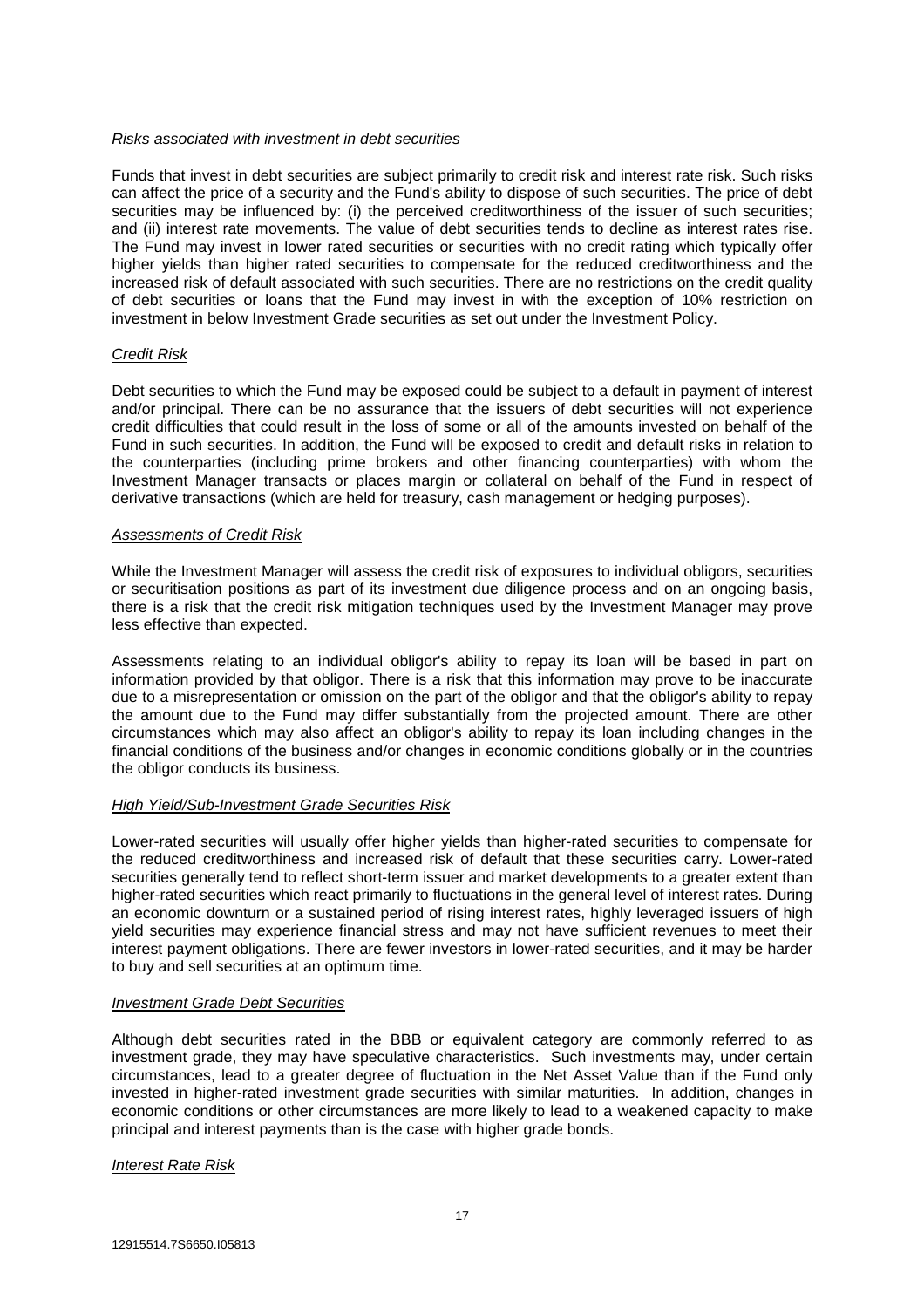# *Risks associated with investment in debt securities*

Funds that invest in debt securities are subject primarily to credit risk and interest rate risk. Such risks can affect the price of a security and the Fund's ability to dispose of such securities. The price of debt securities may be influenced by: (i) the perceived creditworthiness of the issuer of such securities; and (ii) interest rate movements. The value of debt securities tends to decline as interest rates rise. The Fund may invest in lower rated securities or securities with no credit rating which typically offer higher yields than higher rated securities to compensate for the reduced creditworthiness and the increased risk of default associated with such securities. There are no restrictions on the credit quality of debt securities or loans that the Fund may invest in with the exception of 10% restriction on investment in below Investment Grade securities as set out under the Investment Policy.

# *Credit Risk*

Debt securities to which the Fund may be exposed could be subject to a default in payment of interest and/or principal. There can be no assurance that the issuers of debt securities will not experience credit difficulties that could result in the loss of some or all of the amounts invested on behalf of the Fund in such securities. In addition, the Fund will be exposed to credit and default risks in relation to the counterparties (including prime brokers and other financing counterparties) with whom the Investment Manager transacts or places margin or collateral on behalf of the Fund in respect of derivative transactions (which are held for treasury, cash management or hedging purposes).

# *Assessments of Credit Risk*

While the Investment Manager will assess the credit risk of exposures to individual obligors, securities or securitisation positions as part of its investment due diligence process and on an ongoing basis, there is a risk that the credit risk mitigation techniques used by the Investment Manager may prove less effective than expected.

Assessments relating to an individual obligor's ability to repay its loan will be based in part on information provided by that obligor. There is a risk that this information may prove to be inaccurate due to a misrepresentation or omission on the part of the obligor and that the obligor's ability to repay the amount due to the Fund may differ substantially from the projected amount. There are other circumstances which may also affect an obligor's ability to repay its loan including changes in the financial conditions of the business and/or changes in economic conditions globally or in the countries the obligor conducts its business.

# *High Yield/Sub-Investment Grade Securities Risk*

Lower-rated securities will usually offer higher yields than higher-rated securities to compensate for the reduced creditworthiness and increased risk of default that these securities carry. Lower-rated securities generally tend to reflect short-term issuer and market developments to a greater extent than higher-rated securities which react primarily to fluctuations in the general level of interest rates. During an economic downturn or a sustained period of rising interest rates, highly leveraged issuers of high yield securities may experience financial stress and may not have sufficient revenues to meet their interest payment obligations. There are fewer investors in lower-rated securities, and it may be harder to buy and sell securities at an optimum time.

# *Investment Grade Debt Securities*

Although debt securities rated in the BBB or equivalent category are commonly referred to as investment grade, they may have speculative characteristics. Such investments may, under certain circumstances, lead to a greater degree of fluctuation in the Net Asset Value than if the Fund only invested in higher-rated investment grade securities with similar maturities. In addition, changes in economic conditions or other circumstances are more likely to lead to a weakened capacity to make principal and interest payments than is the case with higher grade bonds.

# *Interest Rate Risk*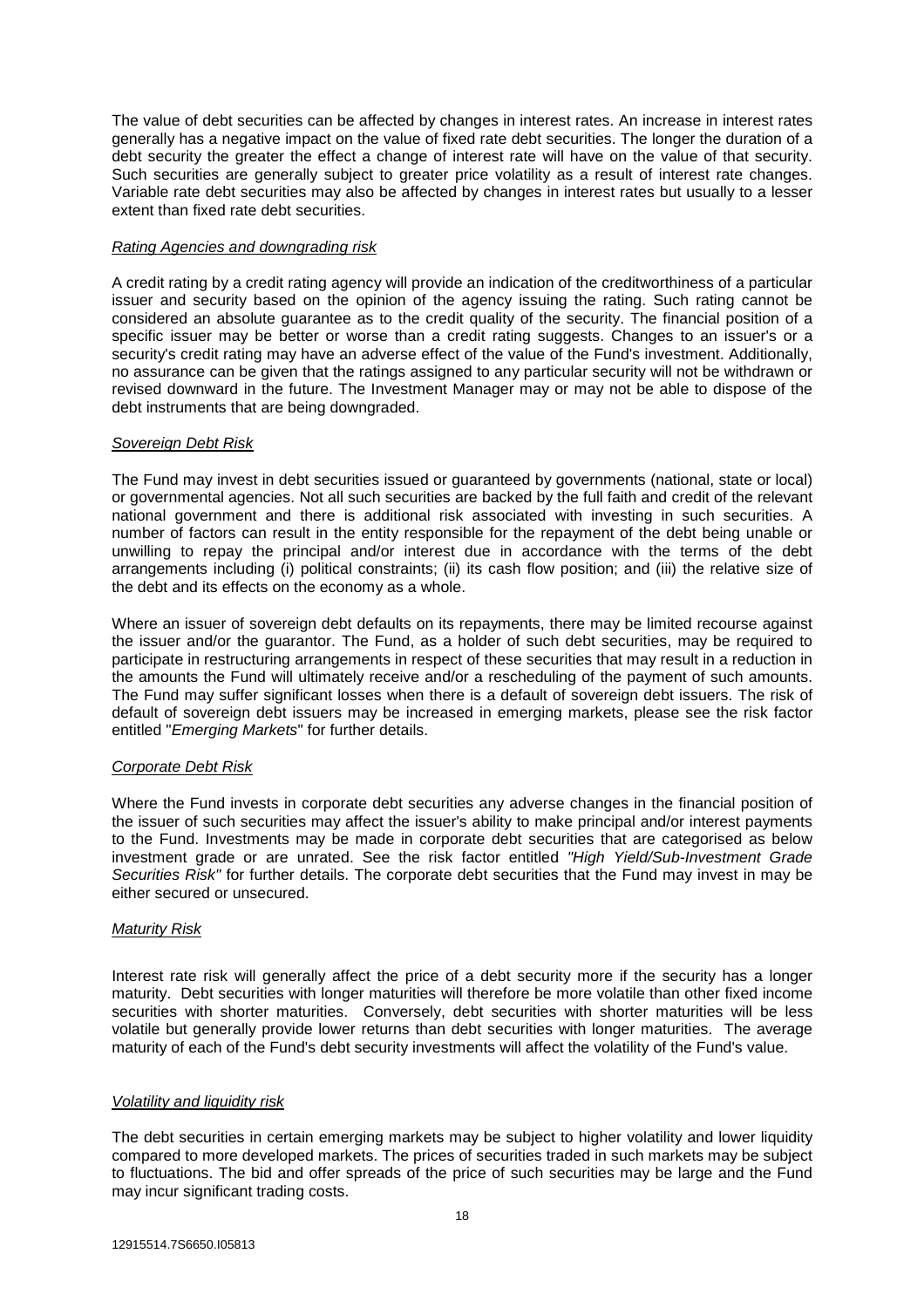The value of debt securities can be affected by changes in interest rates. An increase in interest rates generally has a negative impact on the value of fixed rate debt securities. The longer the duration of a debt security the greater the effect a change of interest rate will have on the value of that security. Such securities are generally subject to greater price volatility as a result of interest rate changes. Variable rate debt securities may also be affected by changes in interest rates but usually to a lesser extent than fixed rate debt securities.

# *Rating Agencies and downgrading risk*

A credit rating by a credit rating agency will provide an indication of the creditworthiness of a particular issuer and security based on the opinion of the agency issuing the rating. Such rating cannot be considered an absolute guarantee as to the credit quality of the security. The financial position of a specific issuer may be better or worse than a credit rating suggests. Changes to an issuer's or a security's credit rating may have an adverse effect of the value of the Fund's investment. Additionally, no assurance can be given that the ratings assigned to any particular security will not be withdrawn or revised downward in the future. The Investment Manager may or may not be able to dispose of the debt instruments that are being downgraded.

# *Sovereign Debt Risk*

The Fund may invest in debt securities issued or guaranteed by governments (national, state or local) or governmental agencies. Not all such securities are backed by the full faith and credit of the relevant national government and there is additional risk associated with investing in such securities. A number of factors can result in the entity responsible for the repayment of the debt being unable or unwilling to repay the principal and/or interest due in accordance with the terms of the debt arrangements including (i) political constraints; (ii) its cash flow position; and (iii) the relative size of the debt and its effects on the economy as a whole.

Where an issuer of sovereign debt defaults on its repayments, there may be limited recourse against the issuer and/or the guarantor. The Fund, as a holder of such debt securities, may be required to participate in restructuring arrangements in respect of these securities that may result in a reduction in the amounts the Fund will ultimately receive and/or a rescheduling of the payment of such amounts. The Fund may suffer significant losses when there is a default of sovereign debt issuers. The risk of default of sovereign debt issuers may be increased in emerging markets, please see the risk factor entitled "*Emerging Markets*" for further details.

# *Corporate Debt Risk*

Where the Fund invests in corporate debt securities any adverse changes in the financial position of the issuer of such securities may affect the issuer's ability to make principal and/or interest payments to the Fund. Investments may be made in corporate debt securities that are categorised as below investment grade or are unrated. See the risk factor entitled *"High Yield/Sub-Investment Grade Securities Risk"* for further details. The corporate debt securities that the Fund may invest in may be either secured or unsecured.

# *Maturity Risk*

Interest rate risk will generally affect the price of a debt security more if the security has a longer maturity. Debt securities with longer maturities will therefore be more volatile than other fixed income securities with shorter maturities. Conversely, debt securities with shorter maturities will be less volatile but generally provide lower returns than debt securities with longer maturities. The average maturity of each of the Fund's debt security investments will affect the volatility of the Fund's value.

# *Volatility and liquidity risk*

The debt securities in certain emerging markets may be subject to higher volatility and lower liquidity compared to more developed markets. The prices of securities traded in such markets may be subject to fluctuations. The bid and offer spreads of the price of such securities may be large and the Fund may incur significant trading costs.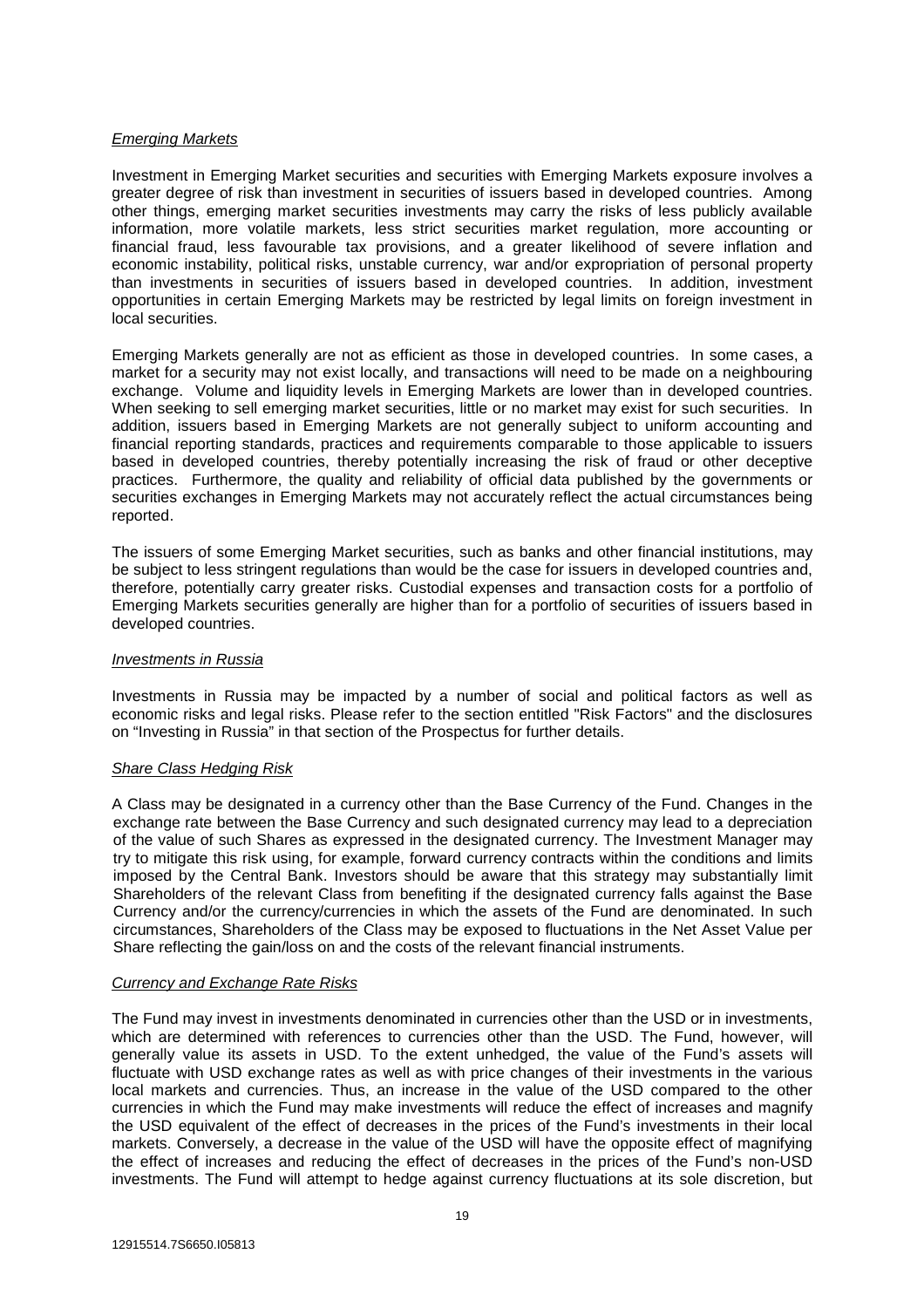# *Emerging Markets*

Investment in Emerging Market securities and securities with Emerging Markets exposure involves a greater degree of risk than investment in securities of issuers based in developed countries. Among other things, emerging market securities investments may carry the risks of less publicly available information, more volatile markets, less strict securities market regulation, more accounting or financial fraud, less favourable tax provisions, and a greater likelihood of severe inflation and economic instability, political risks, unstable currency, war and/or expropriation of personal property than investments in securities of issuers based in developed countries. In addition, investment opportunities in certain Emerging Markets may be restricted by legal limits on foreign investment in local securities.

Emerging Markets generally are not as efficient as those in developed countries. In some cases, a market for a security may not exist locally, and transactions will need to be made on a neighbouring exchange. Volume and liquidity levels in Emerging Markets are lower than in developed countries. When seeking to sell emerging market securities, little or no market may exist for such securities. In addition, issuers based in Emerging Markets are not generally subject to uniform accounting and financial reporting standards, practices and requirements comparable to those applicable to issuers based in developed countries, thereby potentially increasing the risk of fraud or other deceptive practices. Furthermore, the quality and reliability of official data published by the governments or securities exchanges in Emerging Markets may not accurately reflect the actual circumstances being reported.

The issuers of some Emerging Market securities, such as banks and other financial institutions, may be subject to less stringent regulations than would be the case for issuers in developed countries and, therefore, potentially carry greater risks. Custodial expenses and transaction costs for a portfolio of Emerging Markets securities generally are higher than for a portfolio of securities of issuers based in developed countries.

# *Investments in Russia*

Investments in Russia may be impacted by a number of social and political factors as well as economic risks and legal risks. Please refer to the section entitled "Risk Factors" and the disclosures on "Investing in Russia" in that section of the Prospectus for further details.

# *Share Class Hedging Risk*

A Class may be designated in a currency other than the Base Currency of the Fund. Changes in the exchange rate between the Base Currency and such designated currency may lead to a depreciation of the value of such Shares as expressed in the designated currency. The Investment Manager may try to mitigate this risk using, for example, forward currency contracts within the conditions and limits imposed by the Central Bank. Investors should be aware that this strategy may substantially limit Shareholders of the relevant Class from benefiting if the designated currency falls against the Base Currency and/or the currency/currencies in which the assets of the Fund are denominated. In such circumstances, Shareholders of the Class may be exposed to fluctuations in the Net Asset Value per Share reflecting the gain/loss on and the costs of the relevant financial instruments.

# *Currency and Exchange Rate Risks*

The Fund may invest in investments denominated in currencies other than the USD or in investments, which are determined with references to currencies other than the USD. The Fund, however, will generally value its assets in USD. To the extent unhedged, the value of the Fund's assets will fluctuate with USD exchange rates as well as with price changes of their investments in the various local markets and currencies. Thus, an increase in the value of the USD compared to the other currencies in which the Fund may make investments will reduce the effect of increases and magnify the USD equivalent of the effect of decreases in the prices of the Fund's investments in their local markets. Conversely, a decrease in the value of the USD will have the opposite effect of magnifying the effect of increases and reducing the effect of decreases in the prices of the Fund's non-USD investments. The Fund will attempt to hedge against currency fluctuations at its sole discretion, but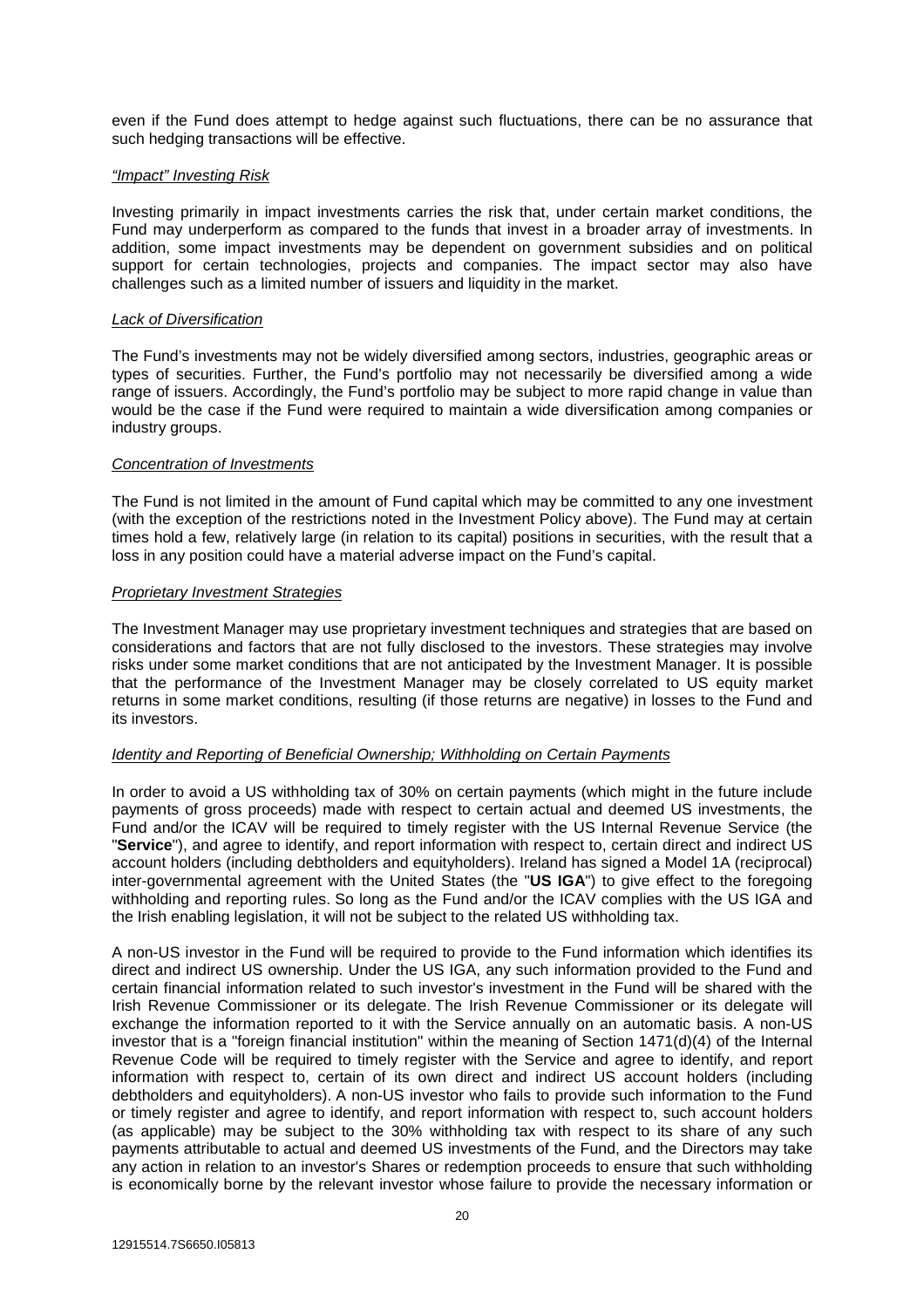even if the Fund does attempt to hedge against such fluctuations, there can be no assurance that such hedging transactions will be effective.

# *"Impact" Investing Risk*

Investing primarily in impact investments carries the risk that, under certain market conditions, the Fund may underperform as compared to the funds that invest in a broader array of investments. In addition, some impact investments may be dependent on government subsidies and on political support for certain technologies, projects and companies. The impact sector may also have challenges such as a limited number of issuers and liquidity in the market.

# *Lack of Diversification*

The Fund's investments may not be widely diversified among sectors, industries, geographic areas or types of securities. Further, the Fund's portfolio may not necessarily be diversified among a wide range of issuers. Accordingly, the Fund's portfolio may be subject to more rapid change in value than would be the case if the Fund were required to maintain a wide diversification among companies or industry groups.

# *Concentration of Investments*

The Fund is not limited in the amount of Fund capital which may be committed to any one investment (with the exception of the restrictions noted in the Investment Policy above). The Fund may at certain times hold a few, relatively large (in relation to its capital) positions in securities, with the result that a loss in any position could have a material adverse impact on the Fund's capital.

# *Proprietary Investment Strategies*

The Investment Manager may use proprietary investment techniques and strategies that are based on considerations and factors that are not fully disclosed to the investors. These strategies may involve risks under some market conditions that are not anticipated by the Investment Manager. It is possible that the performance of the Investment Manager may be closely correlated to US equity market returns in some market conditions, resulting (if those returns are negative) in losses to the Fund and its investors.

# *Identity and Reporting of Beneficial Ownership; Withholding on Certain Payments*

In order to avoid a US withholding tax of 30% on certain payments (which might in the future include payments of gross proceeds) made with respect to certain actual and deemed US investments, the Fund and/or the ICAV will be required to timely register with the US Internal Revenue Service (the "**Service**"), and agree to identify, and report information with respect to, certain direct and indirect US account holders (including debtholders and equityholders). Ireland has signed a Model 1A (reciprocal) inter-governmental agreement with the United States (the "**US IGA**") to give effect to the foregoing withholding and reporting rules. So long as the Fund and/or the ICAV complies with the US IGA and the Irish enabling legislation, it will not be subject to the related US withholding tax.

A non-US investor in the Fund will be required to provide to the Fund information which identifies its direct and indirect US ownership. Under the US IGA, any such information provided to the Fund and certain financial information related to such investor's investment in the Fund will be shared with the Irish Revenue Commissioner or its delegate. The Irish Revenue Commissioner or its delegate will exchange the information reported to it with the Service annually on an automatic basis. A non-US investor that is a "foreign financial institution" within the meaning of Section 1471(d)(4) of the Internal Revenue Code will be required to timely register with the Service and agree to identify, and report information with respect to, certain of its own direct and indirect US account holders (including debtholders and equityholders). A non-US investor who fails to provide such information to the Fund or timely register and agree to identify, and report information with respect to, such account holders (as applicable) may be subject to the 30% withholding tax with respect to its share of any such payments attributable to actual and deemed US investments of the Fund, and the Directors may take any action in relation to an investor's Shares or redemption proceeds to ensure that such withholding is economically borne by the relevant investor whose failure to provide the necessary information or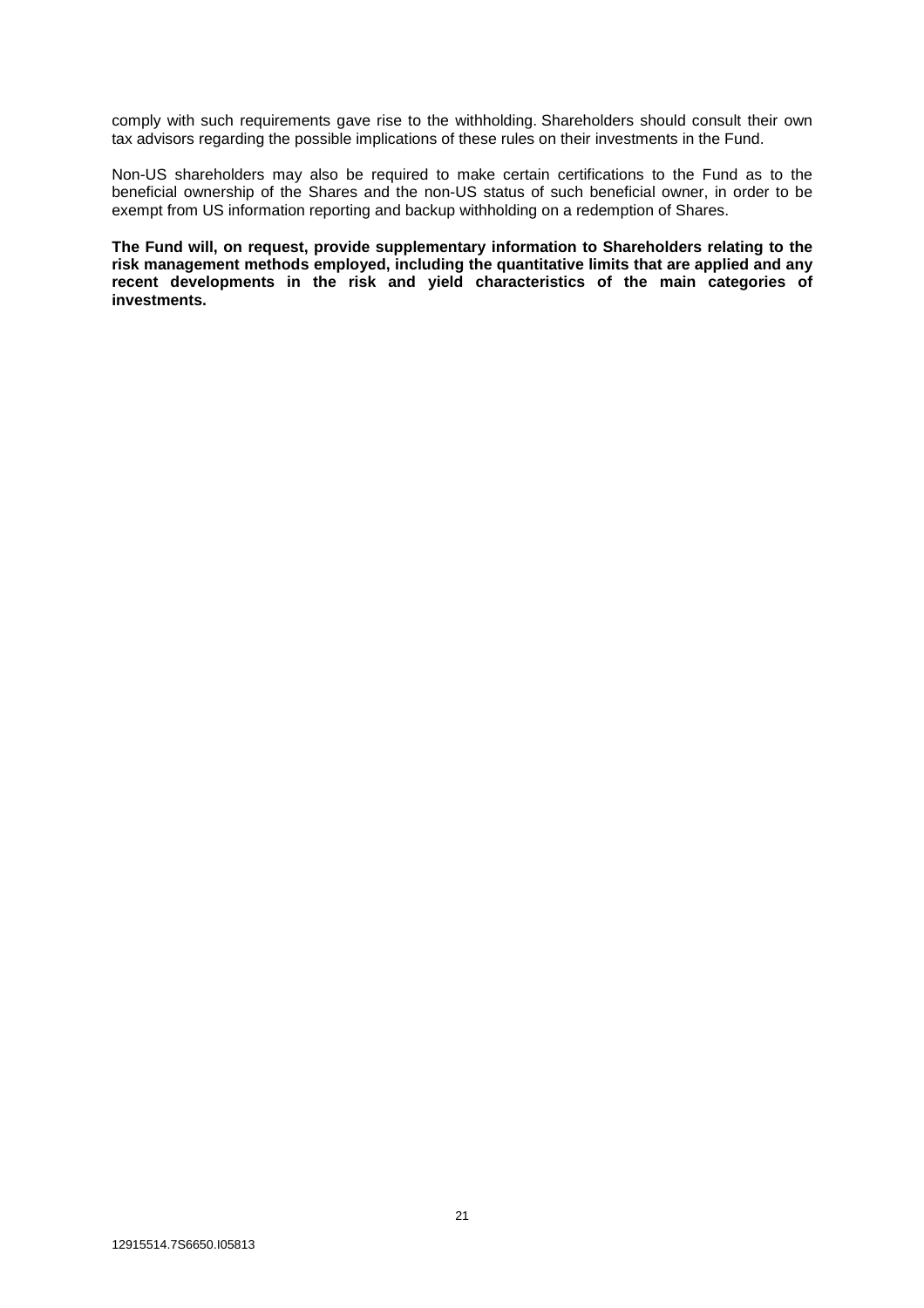comply with such requirements gave rise to the withholding. Shareholders should consult their own tax advisors regarding the possible implications of these rules on their investments in the Fund.

Non-US shareholders may also be required to make certain certifications to the Fund as to the beneficial ownership of the Shares and the non-US status of such beneficial owner, in order to be exempt from US information reporting and backup withholding on a redemption of Shares.

**The Fund will, on request, provide supplementary information to Shareholders relating to the risk management methods employed, including the quantitative limits that are applied and any**  recent developments in the risk and yield characteristics of the main categories of **investments.**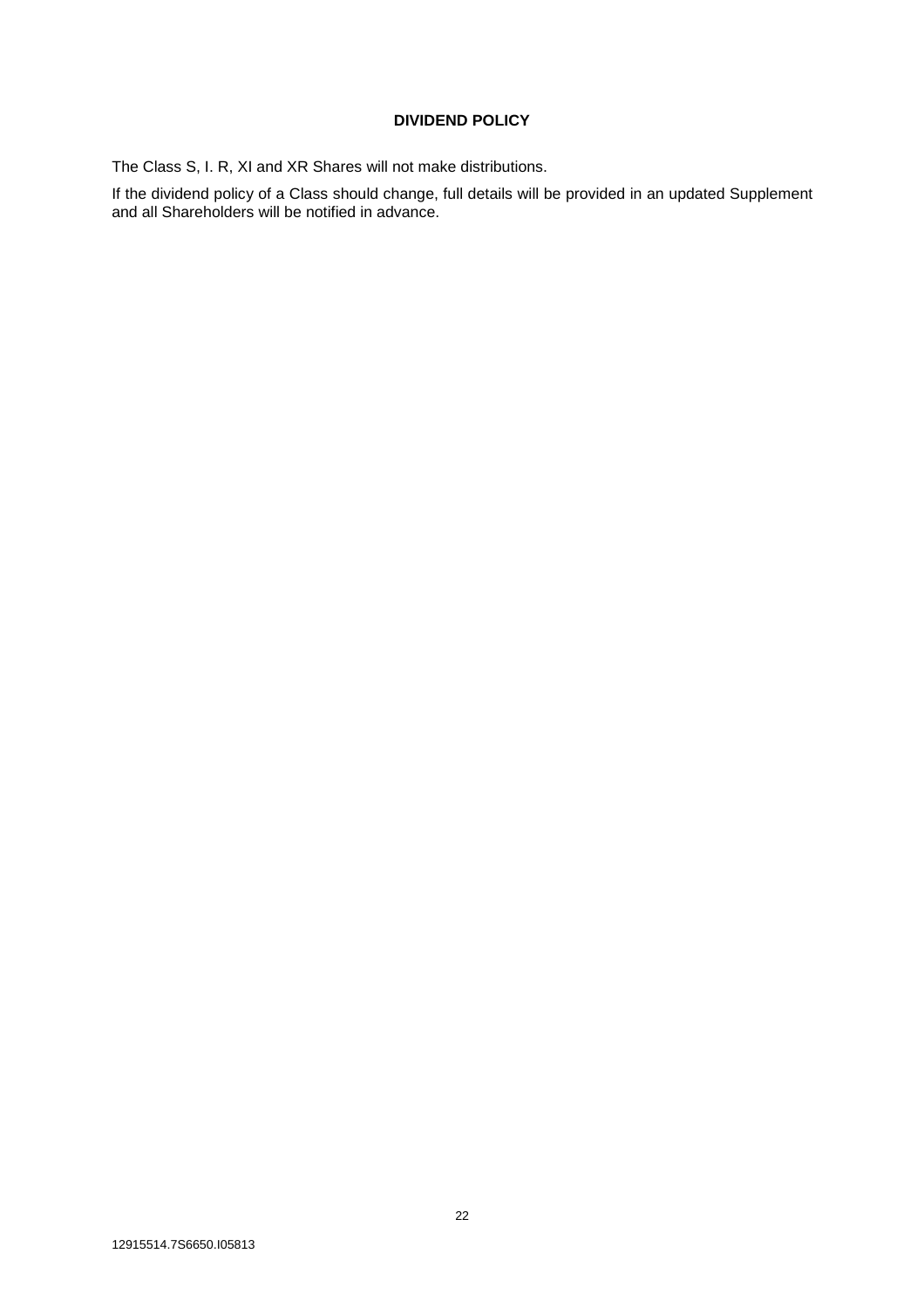# **DIVIDEND POLICY**

The Class S, I. R, XI and XR Shares will not make distributions.

If the dividend policy of a Class should change, full details will be provided in an updated Supplement and all Shareholders will be notified in advance.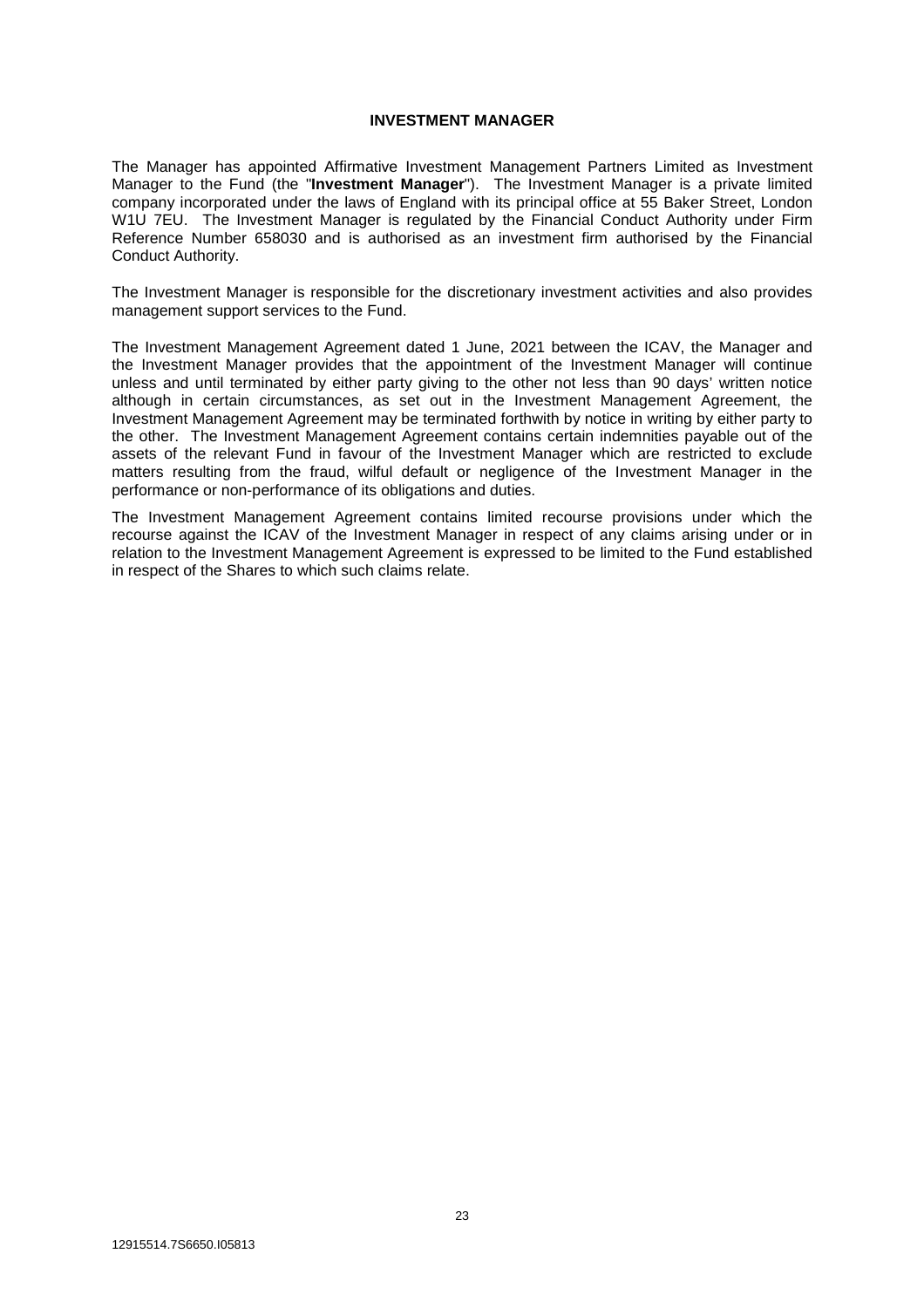# **INVESTMENT MANAGER**

The Manager has appointed Affirmative Investment Management Partners Limited as Investment Manager to the Fund (the "**Investment Manager**"). The Investment Manager is a private limited company incorporated under the laws of England with its principal office at 55 Baker Street, London W1U 7EU. The Investment Manager is regulated by the Financial Conduct Authority under Firm Reference Number 658030 and is authorised as an investment firm authorised by the Financial Conduct Authority.

The Investment Manager is responsible for the discretionary investment activities and also provides management support services to the Fund.

The Investment Management Agreement dated 1 June, 2021 between the ICAV, the Manager and the Investment Manager provides that the appointment of the Investment Manager will continue unless and until terminated by either party giving to the other not less than 90 days' written notice although in certain circumstances, as set out in the Investment Management Agreement, the Investment Management Agreement may be terminated forthwith by notice in writing by either party to the other. The Investment Management Agreement contains certain indemnities payable out of the assets of the relevant Fund in favour of the Investment Manager which are restricted to exclude matters resulting from the fraud, wilful default or negligence of the Investment Manager in the performance or non-performance of its obligations and duties.

The Investment Management Agreement contains limited recourse provisions under which the recourse against the ICAV of the Investment Manager in respect of any claims arising under or in relation to the Investment Management Agreement is expressed to be limited to the Fund established in respect of the Shares to which such claims relate.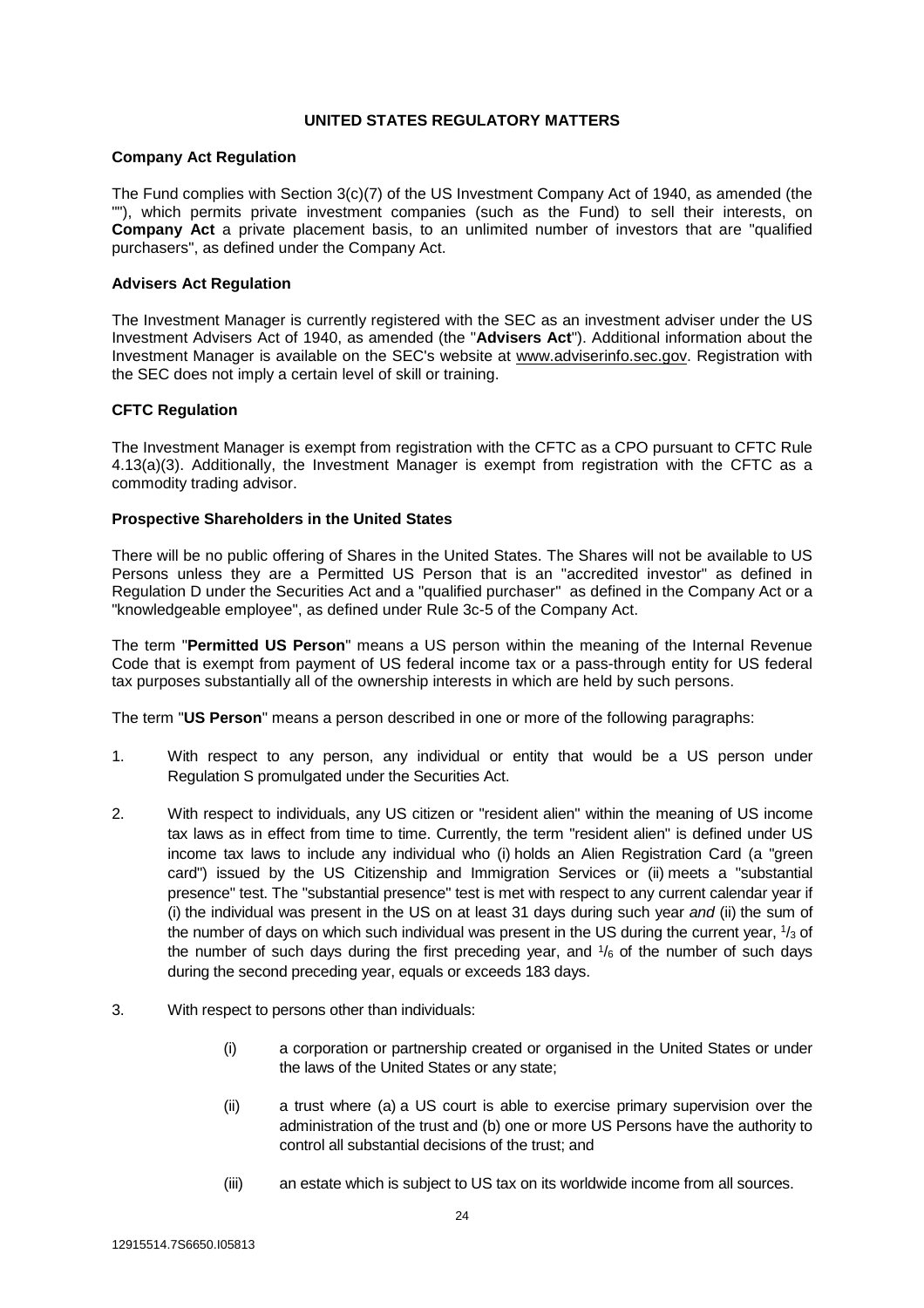# **UNITED STATES REGULATORY MATTERS**

# **Company Act Regulation**

The Fund complies with Section 3(c)(7) of the US Investment Company Act of 1940, as amended (the ""), which permits private investment companies (such as the Fund) to sell their interests, on **Company Act** a private placement basis, to an unlimited number of investors that are "qualified purchasers", as defined under the Company Act.

# **Advisers Act Regulation**

The Investment Manager is currently registered with the SEC as an investment adviser under the US Investment Advisers Act of 1940, as amended (the "**Advisers Act**"). Additional information about the Investment Manager is available on the SEC's website at www.adviserinfo.sec.gov. Registration with the SEC does not imply a certain level of skill or training.

# **CFTC Regulation**

The Investment Manager is exempt from registration with the CFTC as a CPO pursuant to CFTC Rule 4.13(a)(3). Additionally, the Investment Manager is exempt from registration with the CFTC as a commodity trading advisor.

# **Prospective Shareholders in the United States**

There will be no public offering of Shares in the United States. The Shares will not be available to US Persons unless they are a Permitted US Person that is an "accredited investor" as defined in Regulation D under the Securities Act and a "qualified purchaser" as defined in the Company Act or a "knowledgeable employee", as defined under Rule 3c-5 of the Company Act.

The term "**Permitted US Person**" means a US person within the meaning of the Internal Revenue Code that is exempt from payment of US federal income tax or a pass-through entity for US federal tax purposes substantially all of the ownership interests in which are held by such persons.

The term "**US Person**" means a person described in one or more of the following paragraphs:

- 1. With respect to any person, any individual or entity that would be a US person under Regulation S promulgated under the Securities Act.
- 2. With respect to individuals, any US citizen or "resident alien" within the meaning of US income tax laws as in effect from time to time. Currently, the term "resident alien" is defined under US income tax laws to include any individual who (i) holds an Alien Registration Card (a "green card") issued by the US Citizenship and Immigration Services or (ii) meets a "substantial presence" test. The "substantial presence" test is met with respect to any current calendar year if (i) the individual was present in the US on at least 31 days during such year *and* (ii) the sum of the number of days on which such individual was present in the US during the current year,  $1/3$  of the number of such days during the first preceding year, and  $1/6$  of the number of such days during the second preceding year, equals or exceeds 183 days.
- 3. With respect to persons other than individuals:
	- (i) a corporation or partnership created or organised in the United States or under the laws of the United States or any state;
	- (ii) a trust where (a) a US court is able to exercise primary supervision over the administration of the trust and (b) one or more US Persons have the authority to control all substantial decisions of the trust; and
	- (iii) an estate which is subject to US tax on its worldwide income from all sources.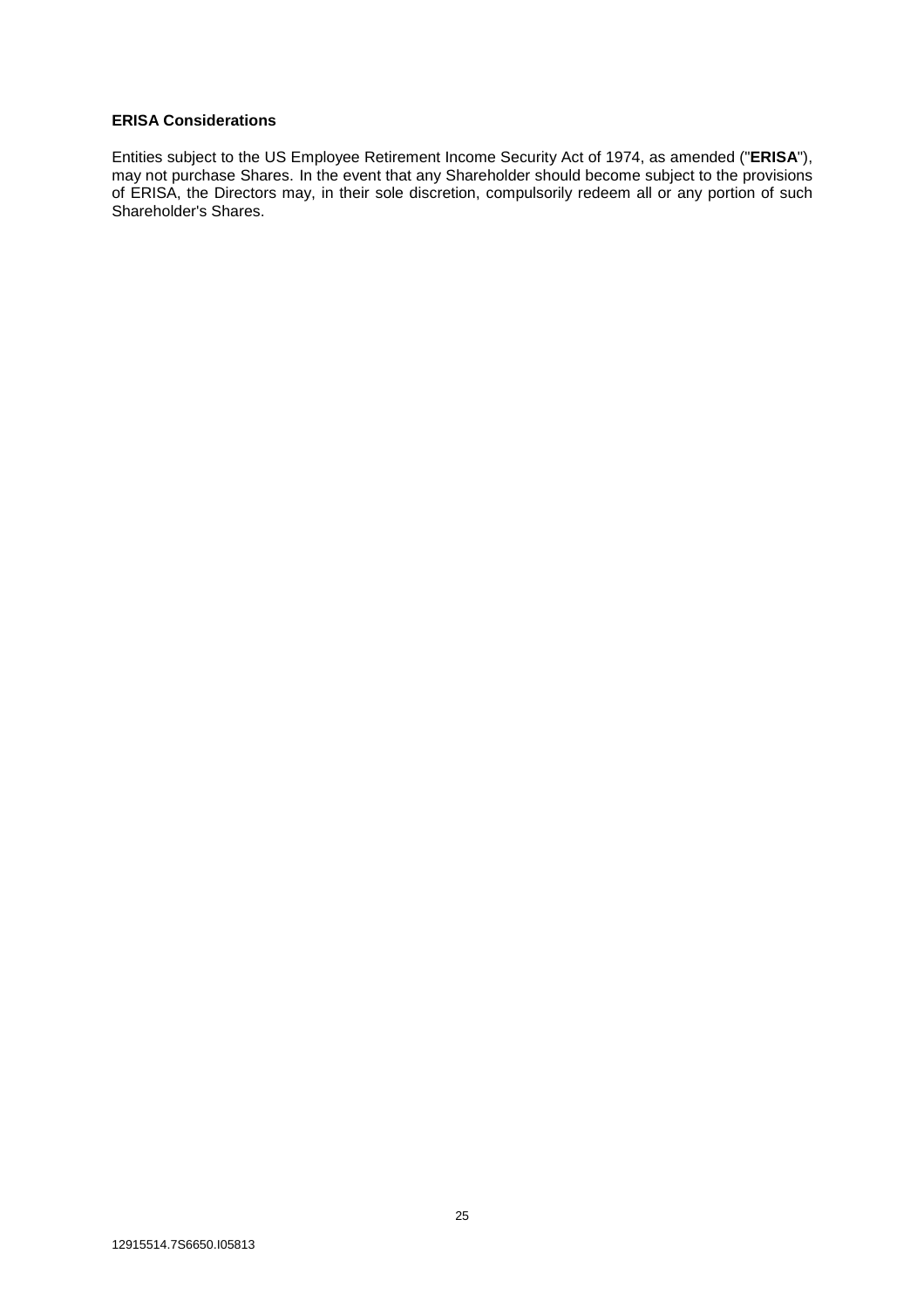# **ERISA Considerations**

Entities subject to the US Employee Retirement Income Security Act of 1974, as amended ("**ERISA**"), may not purchase Shares. In the event that any Shareholder should become subject to the provisions of ERISA, the Directors may, in their sole discretion, compulsorily redeem all or any portion of such Shareholder's Shares.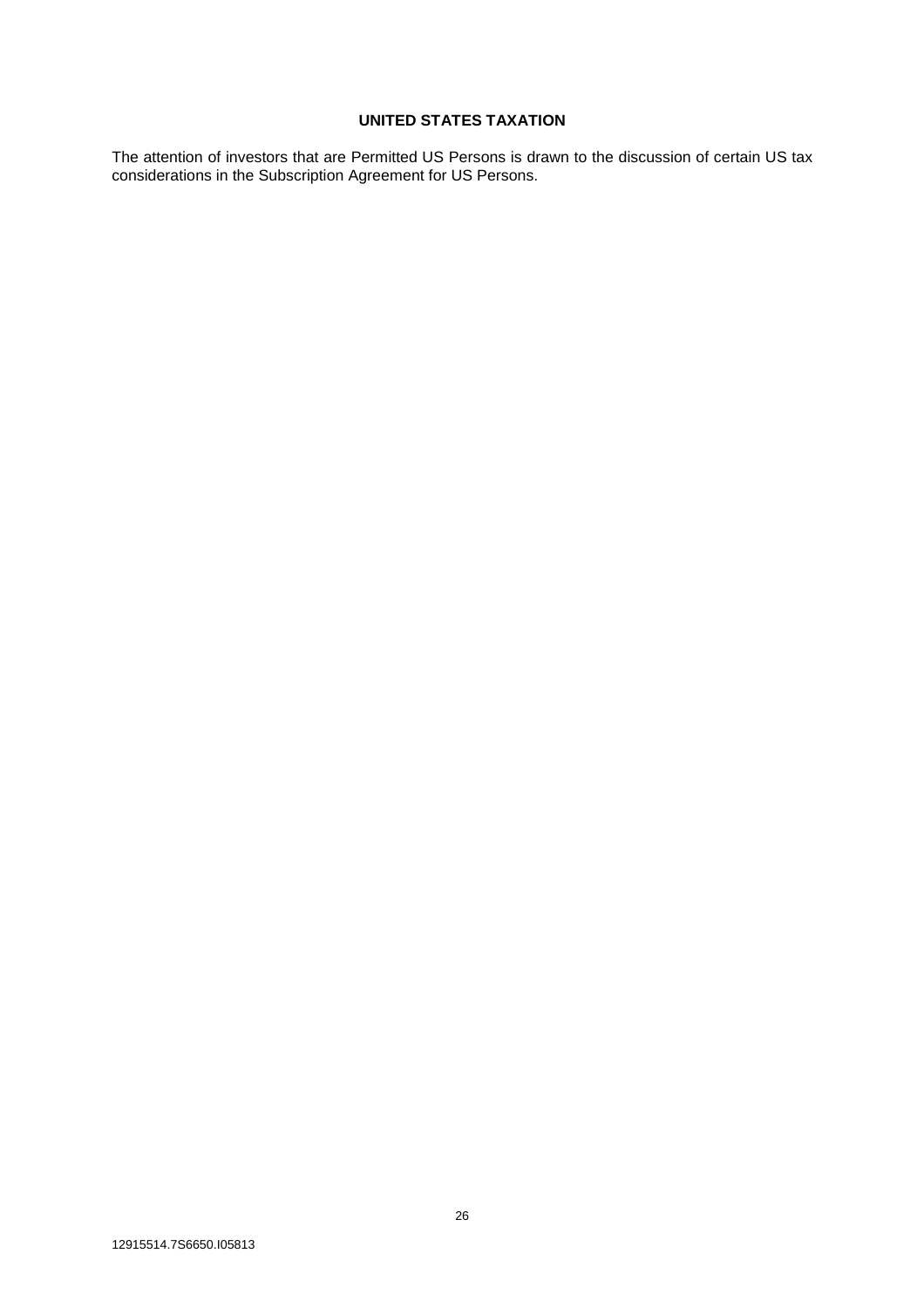# **UNITED STATES TAXATION**

The attention of investors that are Permitted US Persons is drawn to the discussion of certain US tax considerations in the Subscription Agreement for US Persons.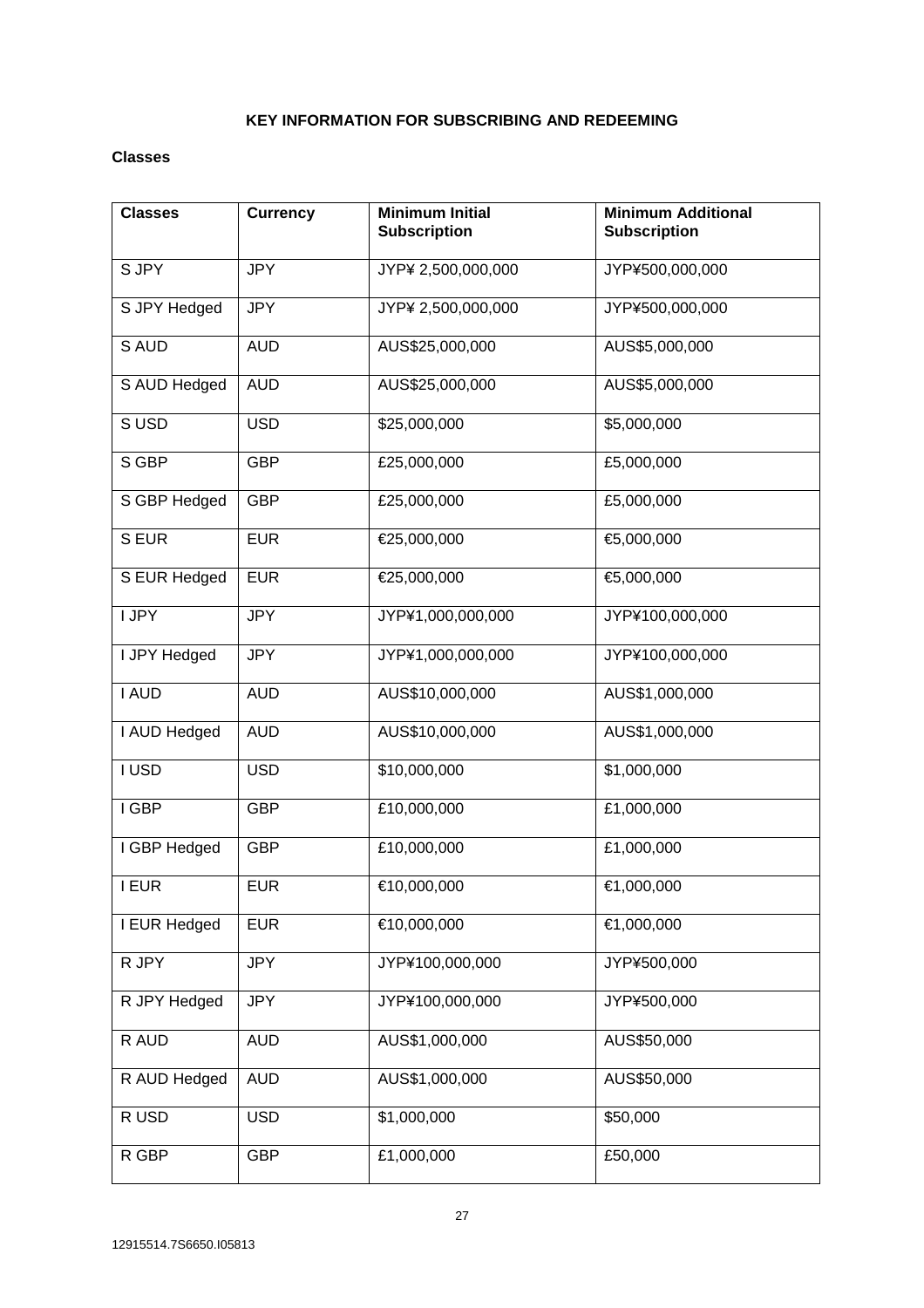# **KEY INFORMATION FOR SUBSCRIBING AND REDEEMING**

# **Classes**

| <b>Classes</b> | <b>Currency</b> | <b>Minimum Initial</b><br><b>Subscription</b> | <b>Minimum Additional</b><br><b>Subscription</b> |
|----------------|-----------------|-----------------------------------------------|--------------------------------------------------|
| S JPY          | <b>JPY</b>      | JYP¥ 2,500,000,000                            | JYP¥500,000,000                                  |
| S JPY Hedged   | <b>JPY</b>      | JYP¥ 2,500,000,000                            | JYP¥500,000,000                                  |
| S AUD          | <b>AUD</b>      | AUS\$25,000,000                               | AUS\$5,000,000                                   |
| S AUD Hedged   | <b>AUD</b>      | AUS\$25,000,000                               | AUS\$5,000,000                                   |
| SUSD           | <b>USD</b>      | \$25,000,000                                  | \$5,000,000                                      |
| S GBP          | <b>GBP</b>      | £25,000,000                                   | £5,000,000                                       |
| S GBP Hedged   | <b>GBP</b>      | £25,000,000                                   | £5,000,000                                       |
| S EUR          | <b>EUR</b>      | €25,000,000                                   | €5,000,000                                       |
| S EUR Hedged   | <b>EUR</b>      | €25,000,000                                   | €5,000,000                                       |
| I JPY          | <b>JPY</b>      | JYP¥1,000,000,000                             | JYP¥100,000,000                                  |
| I JPY Hedged   | <b>JPY</b>      | JYP¥1,000,000,000                             | JYP¥100,000,000                                  |
| I AUD          | <b>AUD</b>      | AUS\$10,000,000                               | AUS\$1,000,000                                   |
| I AUD Hedged   | <b>AUD</b>      | AUS\$10,000,000                               | AUS\$1,000,000                                   |
| I USD          | <b>USD</b>      | \$10,000,000                                  | \$1,000,000                                      |
| I GBP          | <b>GBP</b>      | £10,000,000                                   | £1,000,000                                       |
| I GBP Hedged   | <b>GBP</b>      | £10,000,000                                   | £1,000,000                                       |
| <b>I EUR</b>   | <b>EUR</b>      | €10,000,000                                   | €1,000,000                                       |
| I EUR Hedged   | <b>EUR</b>      | €10,000,000                                   | €1,000,000                                       |
| R JPY          | <b>JPY</b>      | JYP¥100,000,000                               | JYP¥500,000                                      |
| R JPY Hedged   | <b>JPY</b>      | JYP¥100,000,000                               | JYP¥500,000                                      |
| R AUD          | <b>AUD</b>      | AUS\$1,000,000                                | AUS\$50,000                                      |
| R AUD Hedged   | <b>AUD</b>      | AUS\$1,000,000                                | AUS\$50,000                                      |
| R USD          | <b>USD</b>      | \$1,000,000                                   | \$50,000                                         |
| R GBP          | <b>GBP</b>      | £1,000,000                                    | £50,000                                          |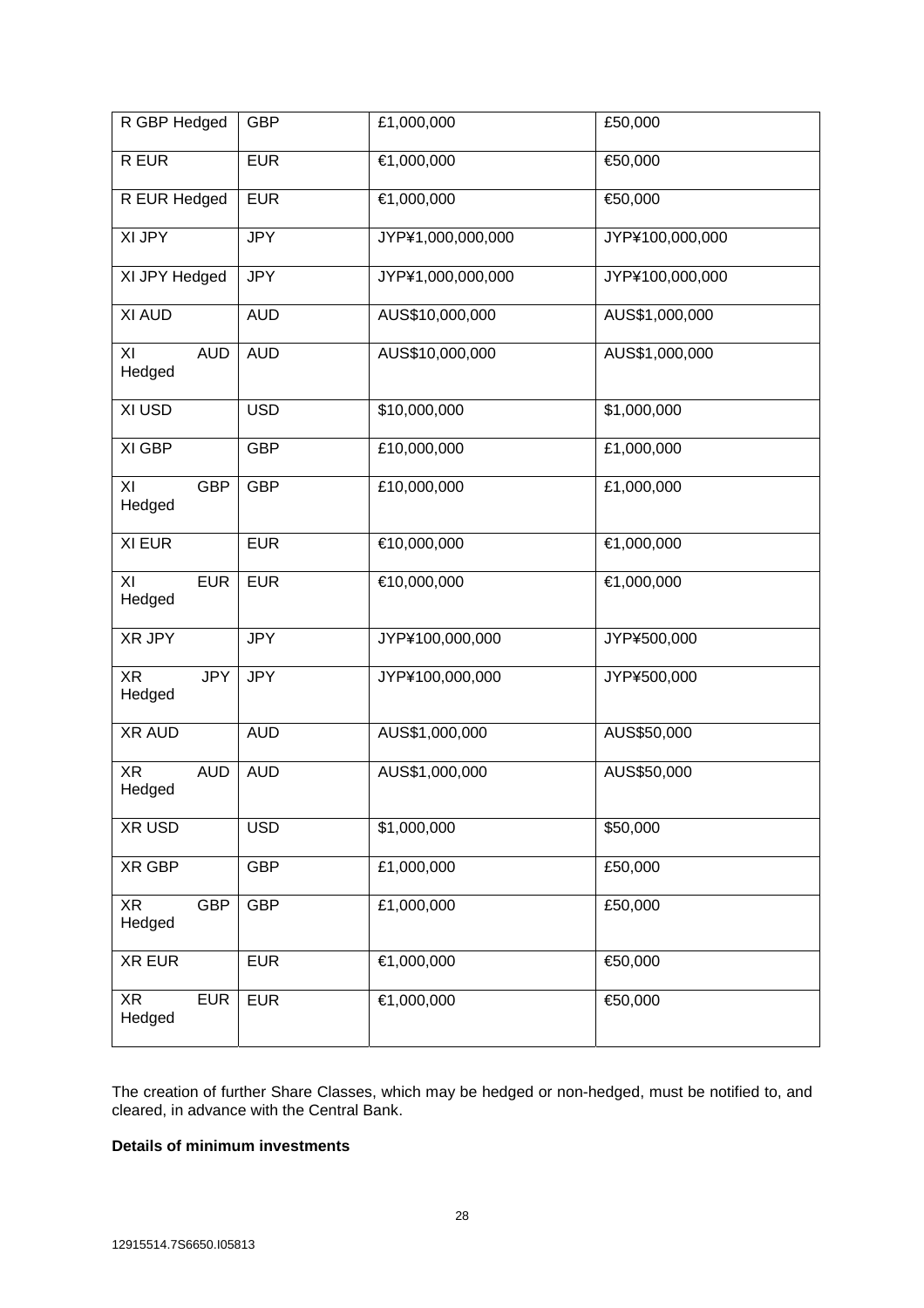| R GBP Hedged               | <b>GBP</b> | £1,000,000<br>£50,000 |                 |
|----------------------------|------------|-----------------------|-----------------|
| R EUR                      | <b>EUR</b> | €1,000,000<br>€50,000 |                 |
| R EUR Hedged               | <b>EUR</b> | €1,000,000            | €50,000         |
| XI JPY                     | <b>JPY</b> | JYP¥1,000,000,000     | JYP¥100,000,000 |
| XI JPY Hedged              | <b>JPY</b> | JYP¥1,000,000,000     | JYP¥100,000,000 |
| XI AUD                     | <b>AUD</b> | AUS\$10,000,000       | AUS\$1,000,000  |
| <b>AUD</b><br>XI<br>Hedged | <b>AUD</b> | AUS\$10,000,000       | AUS\$1,000,000  |
| XI USD                     | <b>USD</b> | \$10,000,000          | \$1,000,000     |
| XI GBP                     | <b>GBP</b> | £10,000,000           | £1,000,000      |
| XI<br><b>GBP</b><br>Hedged | <b>GBP</b> | £10,000,000           | £1,000,000      |
| XI EUR                     | <b>EUR</b> | €10,000,000           | €1,000,000      |
| XI<br><b>EUR</b><br>Hedged | <b>EUR</b> | €10,000,000           | €1,000,000      |
| XR JPY                     | <b>JPY</b> | JYP¥100,000,000       | JYP¥500,000     |
| XR<br><b>JPY</b><br>Hedged | <b>JPY</b> | JYP¥100,000,000       | JYP¥500,000     |
| <b>XR AUD</b>              | <b>AUD</b> | AUS\$1,000,000        | AUS\$50,000     |
| XR<br><b>AUD</b><br>Hedged | <b>AUD</b> | AUS\$1,000,000        | AUS\$50,000     |
| XR USD                     | <b>USD</b> | \$1,000,000           | \$50,000        |
| XR GBP                     | <b>GBP</b> | £1,000,000            | £50,000         |
| <b>GBP</b><br>XR<br>Hedged | <b>GBP</b> | £1,000,000            | £50,000         |
| <b>XR EUR</b>              | <b>EUR</b> | €1,000,000            | €50,000         |
| <b>EUR</b><br>XR<br>Hedged | <b>EUR</b> | €1,000,000            | €50,000         |

The creation of further Share Classes, which may be hedged or non-hedged, must be notified to, and cleared, in advance with the Central Bank.

# **Details of minimum investments**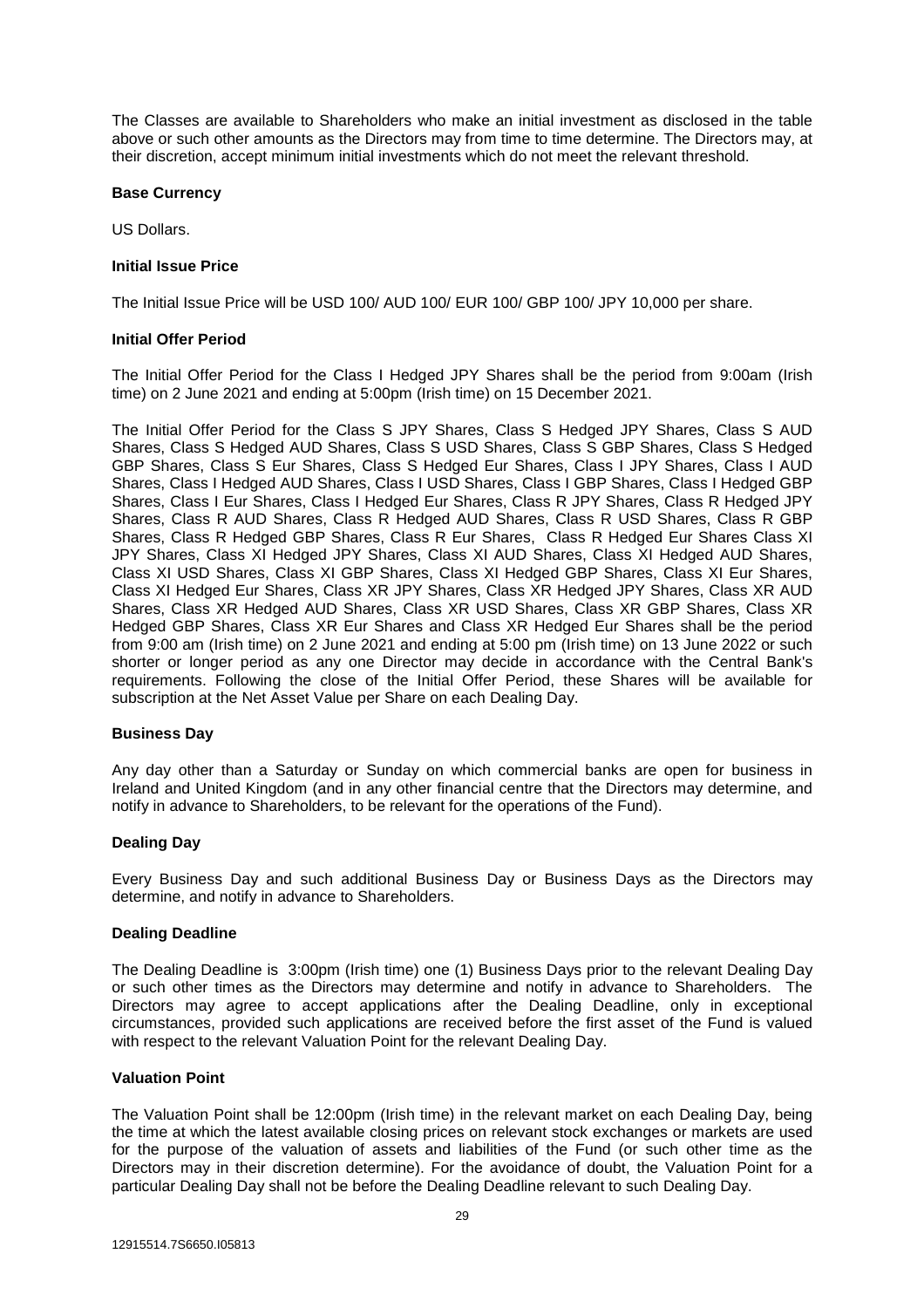The Classes are available to Shareholders who make an initial investment as disclosed in the table above or such other amounts as the Directors may from time to time determine. The Directors may, at their discretion, accept minimum initial investments which do not meet the relevant threshold.

# **Base Currency**

US Dollars.

# **Initial Issue Price**

The Initial Issue Price will be USD 100/ AUD 100/ EUR 100/ GBP 100/ JPY 10,000 per share.

# **Initial Offer Period**

The Initial Offer Period for the Class I Hedged JPY Shares shall be the period from 9:00am (Irish time) on 2 June 2021 and ending at 5:00pm (Irish time) on 15 December 2021.

The Initial Offer Period for the Class S JPY Shares, Class S Hedged JPY Shares, Class S AUD Shares, Class S Hedged AUD Shares, Class S USD Shares, Class S GBP Shares, Class S Hedged GBP Shares, Class S Eur Shares, Class S Hedged Eur Shares, Class I JPY Shares, Class I AUD Shares, Class I Hedged AUD Shares, Class I USD Shares, Class I GBP Shares, Class I Hedged GBP Shares, Class I Eur Shares, Class I Hedged Eur Shares, Class R JPY Shares, Class R Hedged JPY Shares, Class R AUD Shares, Class R Hedged AUD Shares, Class R USD Shares, Class R GBP Shares, Class R Hedged GBP Shares, Class R Eur Shares, Class R Hedged Eur Shares Class XI JPY Shares, Class XI Hedged JPY Shares, Class XI AUD Shares, Class XI Hedged AUD Shares, Class XI USD Shares, Class XI GBP Shares, Class XI Hedged GBP Shares, Class XI Eur Shares, Class XI Hedged Eur Shares, Class XR JPY Shares, Class XR Hedged JPY Shares, Class XR AUD Shares, Class XR Hedged AUD Shares, Class XR USD Shares, Class XR GBP Shares, Class XR Hedged GBP Shares, Class XR Eur Shares and Class XR Hedged Eur Shares shall be the period from 9:00 am (Irish time) on 2 June 2021 and ending at 5:00 pm (Irish time) on 13 June 2022 or such shorter or longer period as any one Director may decide in accordance with the Central Bank's requirements. Following the close of the Initial Offer Period, these Shares will be available for subscription at the Net Asset Value per Share on each Dealing Day.

# **Business Day**

Any day other than a Saturday or Sunday on which commercial banks are open for business in Ireland and United Kingdom (and in any other financial centre that the Directors may determine, and notify in advance to Shareholders, to be relevant for the operations of the Fund).

# **Dealing Day**

Every Business Day and such additional Business Day or Business Days as the Directors may determine, and notify in advance to Shareholders.

# **Dealing Deadline**

The Dealing Deadline is 3:00pm (Irish time) one (1) Business Days prior to the relevant Dealing Day or such other times as the Directors may determine and notify in advance to Shareholders. The Directors may agree to accept applications after the Dealing Deadline, only in exceptional circumstances, provided such applications are received before the first asset of the Fund is valued with respect to the relevant Valuation Point for the relevant Dealing Day.

# **Valuation Point**

The Valuation Point shall be 12:00pm (Irish time) in the relevant market on each Dealing Day, being the time at which the latest available closing prices on relevant stock exchanges or markets are used for the purpose of the valuation of assets and liabilities of the Fund (or such other time as the Directors may in their discretion determine). For the avoidance of doubt, the Valuation Point for a particular Dealing Day shall not be before the Dealing Deadline relevant to such Dealing Day.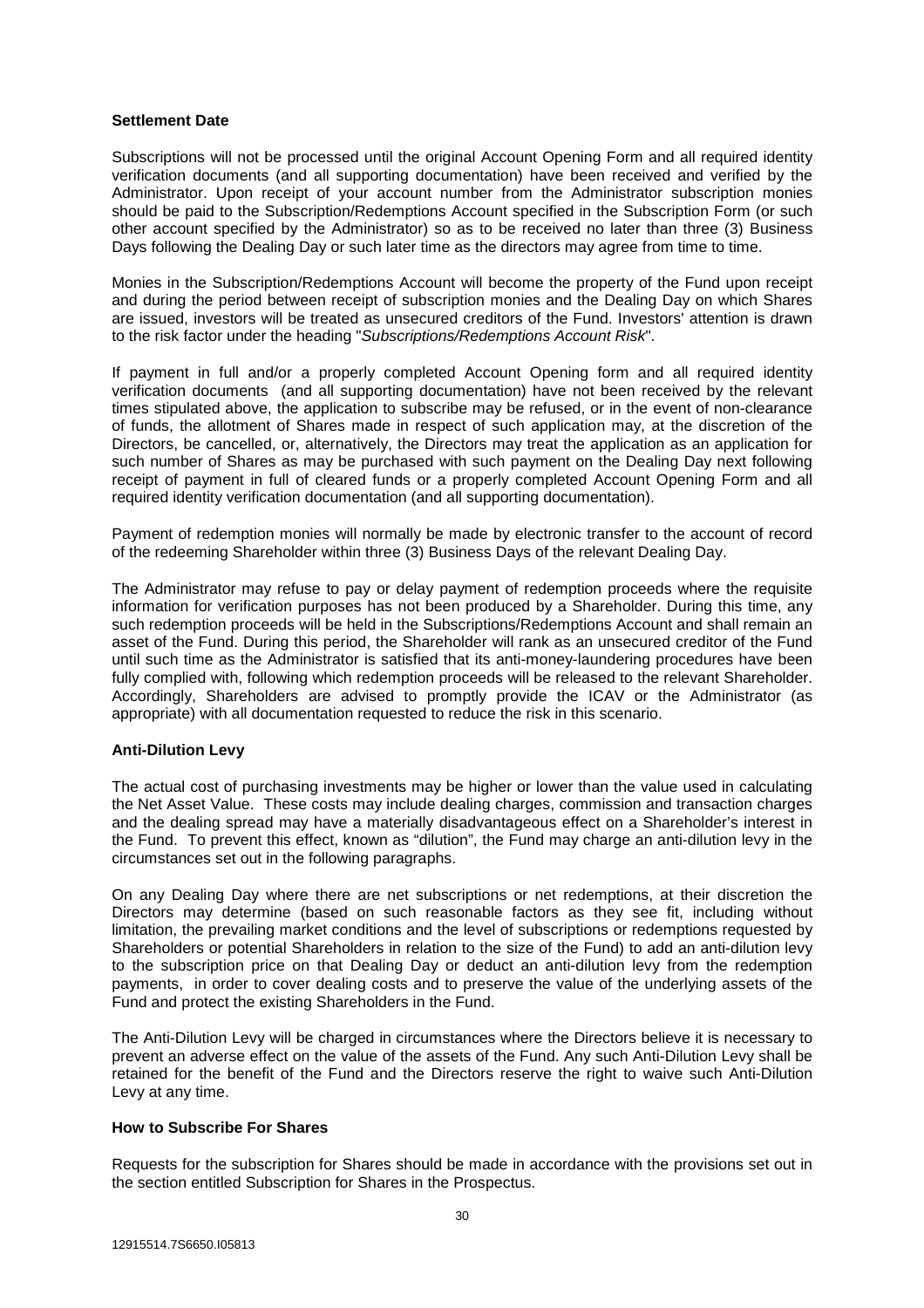# **Settlement Date**

Subscriptions will not be processed until the original Account Opening Form and all required identity verification documents (and all supporting documentation) have been received and verified by the Administrator. Upon receipt of your account number from the Administrator subscription monies should be paid to the Subscription/Redemptions Account specified in the Subscription Form (or such other account specified by the Administrator) so as to be received no later than three (3) Business Days following the Dealing Day or such later time as the directors may agree from time to time.

Monies in the Subscription/Redemptions Account will become the property of the Fund upon receipt and during the period between receipt of subscription monies and the Dealing Day on which Shares are issued, investors will be treated as unsecured creditors of the Fund. Investors' attention is drawn to the risk factor under the heading "*Subscriptions/Redemptions Account Risk*".

If payment in full and/or a properly completed Account Opening form and all required identity verification documents (and all supporting documentation) have not been received by the relevant times stipulated above, the application to subscribe may be refused, or in the event of non-clearance of funds, the allotment of Shares made in respect of such application may, at the discretion of the Directors, be cancelled, or, alternatively, the Directors may treat the application as an application for such number of Shares as may be purchased with such payment on the Dealing Day next following receipt of payment in full of cleared funds or a properly completed Account Opening Form and all required identity verification documentation (and all supporting documentation).

Payment of redemption monies will normally be made by electronic transfer to the account of record of the redeeming Shareholder within three (3) Business Days of the relevant Dealing Day.

The Administrator may refuse to pay or delay payment of redemption proceeds where the requisite information for verification purposes has not been produced by a Shareholder. During this time, any such redemption proceeds will be held in the Subscriptions/Redemptions Account and shall remain an asset of the Fund. During this period, the Shareholder will rank as an unsecured creditor of the Fund until such time as the Administrator is satisfied that its anti-money-laundering procedures have been fully complied with, following which redemption proceeds will be released to the relevant Shareholder. Accordingly, Shareholders are advised to promptly provide the ICAV or the Administrator (as appropriate) with all documentation requested to reduce the risk in this scenario.

# **Anti-Dilution Levy**

The actual cost of purchasing investments may be higher or lower than the value used in calculating the Net Asset Value. These costs may include dealing charges, commission and transaction charges and the dealing spread may have a materially disadvantageous effect on a Shareholder's interest in the Fund. To prevent this effect, known as "dilution", the Fund may charge an anti-dilution levy in the circumstances set out in the following paragraphs.

On any Dealing Day where there are net subscriptions or net redemptions, at their discretion the Directors may determine (based on such reasonable factors as they see fit, including without limitation, the prevailing market conditions and the level of subscriptions or redemptions requested by Shareholders or potential Shareholders in relation to the size of the Fund) to add an anti-dilution levy to the subscription price on that Dealing Day or deduct an anti-dilution levy from the redemption payments, in order to cover dealing costs and to preserve the value of the underlying assets of the Fund and protect the existing Shareholders in the Fund.

The Anti-Dilution Levy will be charged in circumstances where the Directors believe it is necessary to prevent an adverse effect on the value of the assets of the Fund. Any such Anti-Dilution Levy shall be retained for the benefit of the Fund and the Directors reserve the right to waive such Anti-Dilution Levy at any time.

# **How to Subscribe For Shares**

Requests for the subscription for Shares should be made in accordance with the provisions set out in the section entitled Subscription for Shares in the Prospectus.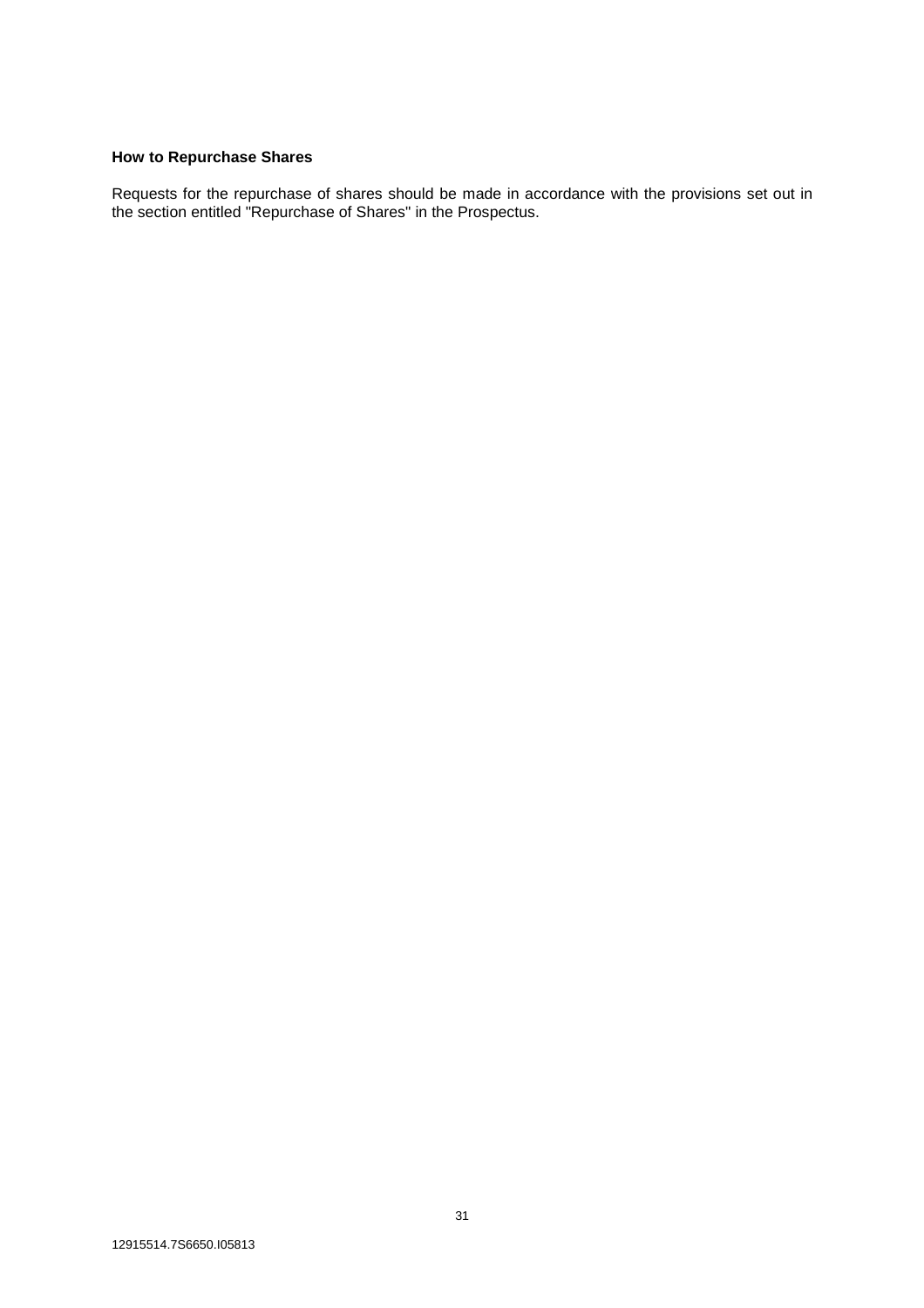# **How to Repurchase Shares**

Requests for the repurchase of shares should be made in accordance with the provisions set out in the section entitled "Repurchase of Shares" in the Prospectus.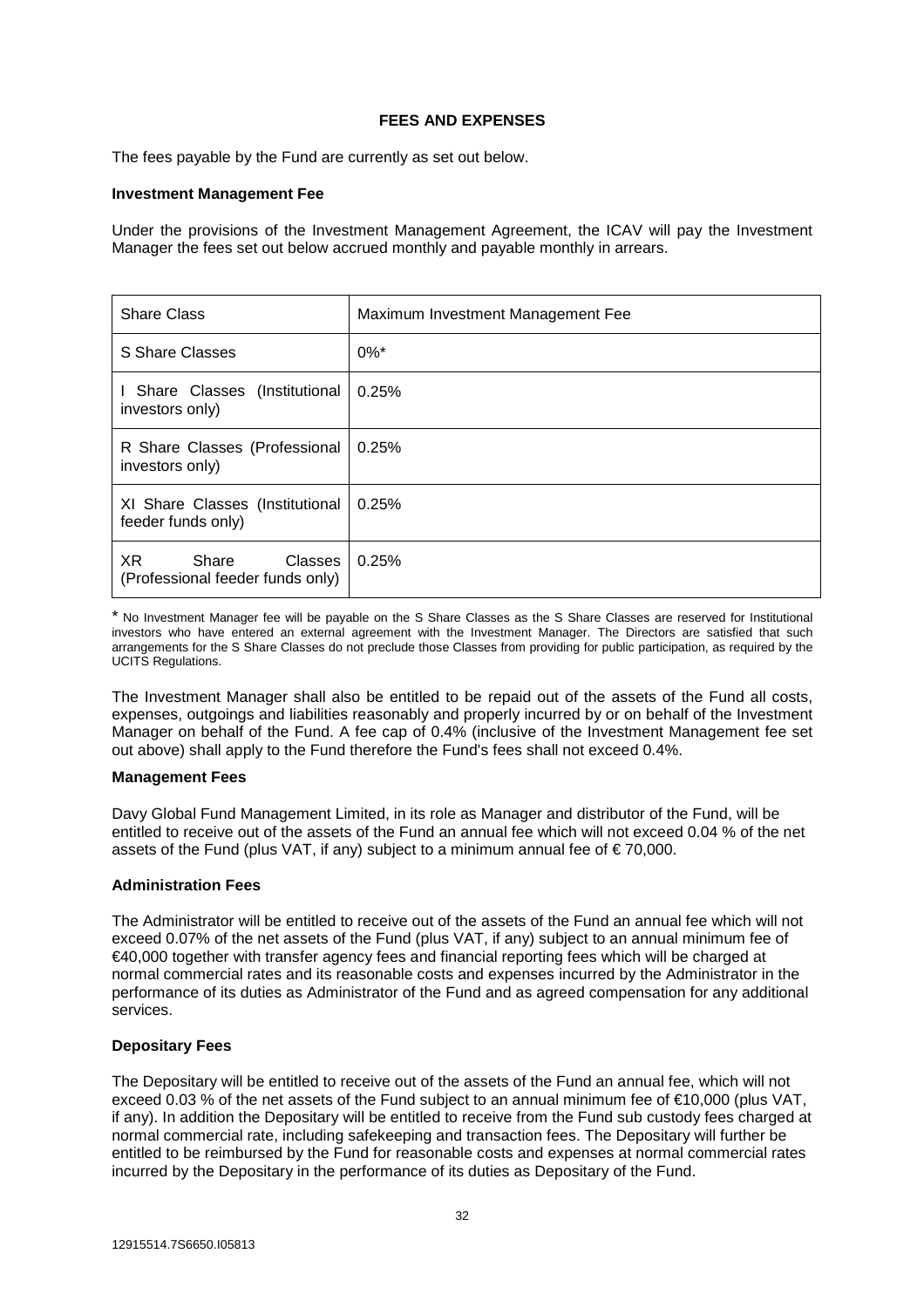# **FEES AND EXPENSES**

The fees payable by the Fund are currently as set out below.

# **Investment Management Fee**

Under the provisions of the Investment Management Agreement, the ICAV will pay the Investment Manager the fees set out below accrued monthly and payable monthly in arrears.

| <b>Share Class</b>                                           | Maximum Investment Management Fee |
|--------------------------------------------------------------|-----------------------------------|
| S Share Classes                                              | $0\%$ <sup>*</sup>                |
| I Share Classes (Institutional)<br>investors only)           | 0.25%                             |
| R Share Classes (Professional<br>investors only)             | 0.25%                             |
| XI Share Classes (Institutional<br>feeder funds only)        | 0.25%                             |
| XR<br>Share<br>Classes  <br>(Professional feeder funds only) | 0.25%                             |

\* No Investment Manager fee will be payable on the S Share Classes as the S Share Classes are reserved for Institutional investors who have entered an external agreement with the Investment Manager. The Directors are satisfied that such arrangements for the S Share Classes do not preclude those Classes from providing for public participation, as required by the UCITS Regulations.

The Investment Manager shall also be entitled to be repaid out of the assets of the Fund all costs, expenses, outgoings and liabilities reasonably and properly incurred by or on behalf of the Investment Manager on behalf of the Fund. A fee cap of 0.4% (inclusive of the Investment Management fee set out above) shall apply to the Fund therefore the Fund's fees shall not exceed 0.4%.

# **Management Fees**

Davy Global Fund Management Limited, in its role as Manager and distributor of the Fund, will be entitled to receive out of the assets of the Fund an annual fee which will not exceed 0.04 % of the net assets of the Fund (plus VAT, if any) subject to a minimum annual fee of  $\epsilon$ 70,000.

# **Administration Fees**

The Administrator will be entitled to receive out of the assets of the Fund an annual fee which will not exceed 0.07% of the net assets of the Fund (plus VAT, if any) subject to an annual minimum fee of €40,000 together with transfer agency fees and financial reporting fees which will be charged at normal commercial rates and its reasonable costs and expenses incurred by the Administrator in the performance of its duties as Administrator of the Fund and as agreed compensation for any additional services.

# **Depositary Fees**

The Depositary will be entitled to receive out of the assets of the Fund an annual fee, which will not exceed 0.03 % of the net assets of the Fund subject to an annual minimum fee of €10,000 (plus VAT, if any). In addition the Depositary will be entitled to receive from the Fund sub custody fees charged at normal commercial rate, including safekeeping and transaction fees. The Depositary will further be entitled to be reimbursed by the Fund for reasonable costs and expenses at normal commercial rates incurred by the Depositary in the performance of its duties as Depositary of the Fund.